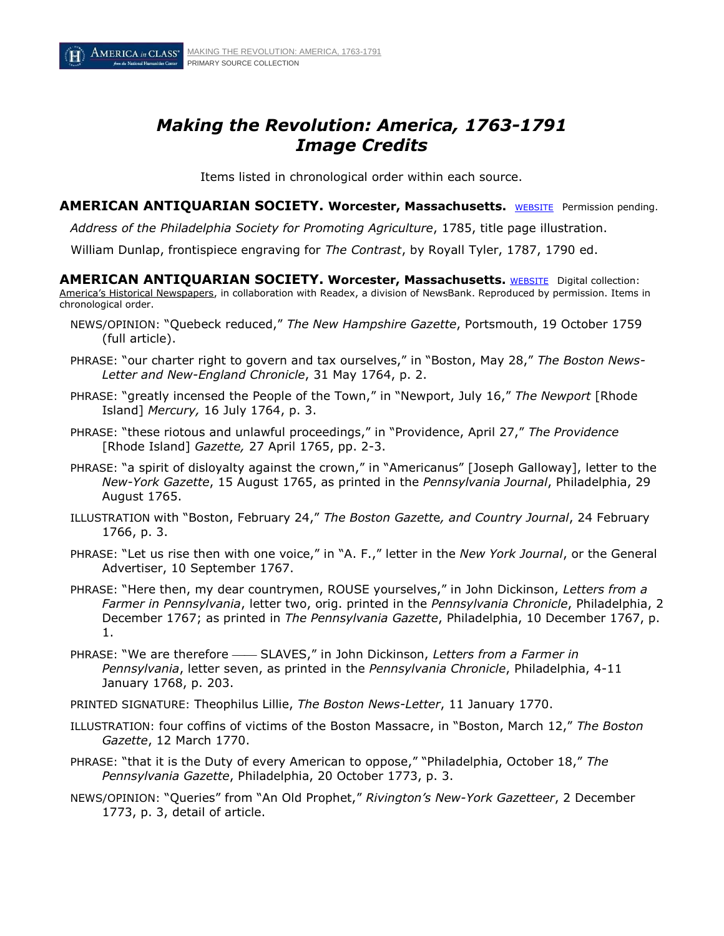

# *Making the Revolution: America, 1763-1791 Image Credits*

Items listed in chronological order within each source.

**AMERICAN ANTIQUARIAN SOCIETY. Worcester, Massachusetts.** [WEBSITE](http://www.americanantiquarian.org/) Permission pending.

*Address of the Philadelphia Society for Promoting Agriculture*, 1785, title page illustration.

William Dunlap, frontispiece engraving for *The Contrast*, by Royall Tyler, 1787, 1790 ed.

**AMERICAN ANTIQUARIAN SOCIETY. Worcester, Massachusetts. [WEBSITE](http://www.americanantiquarian.org/) Digital collection:** America's Historical Newspapers, in collaboration with Readex, a division of NewsBank. Reproduced by permission. Items in chronological order.

- NEWS/OPINION: "Quebeck reduced," *The New Hampshire Gazette*, Portsmouth, 19 October 1759 (full article).
- PHRASE: "our charter right to govern and tax ourselves," in "Boston, May 28," *The Boston News-Letter and New-England Chronicle*, 31 May 1764, p. 2.
- PHRASE: "greatly incensed the People of the Town," in "Newport, July 16," *The Newport* [Rhode Island] *Mercury,* 16 July 1764, p. 3.
- PHRASE: "these riotous and unlawful proceedings," in "Providence, April 27," *The Providence*  [Rhode Island] *Gazette,* 27 April 1765, pp. 2-3.
- PHRASE: "a spirit of disloyalty against the crown," in "Americanus" [Joseph Galloway], letter to the *New-York Gazette*, 15 August 1765, as printed in the *Pennsylvania Journal*, Philadelphia, 29 August 1765.
- ILLUSTRATION with "Boston, February 24," *The Boston Gazett*e*, and Country Journal*, 24 February 1766, p. 3.
- PHRASE: "Let us rise then with one voice," in "A. F.," letter in the *New York Journal*, or the General Advertiser, 10 September 1767.
- PHRASE: "Here then, my dear countrymen, ROUSE yourselves," in John Dickinson, *Letters from a Farmer in Pennsylvania*, letter two, orig. printed in the *Pennsylvania Chronicle*, Philadelphia, 2 December 1767; as printed in *The Pennsylvania Gazette*, Philadelphia, 10 December 1767, p. 1.
- PHRASE: "We are therefore SLAVES," in John Dickinson, Letters from a Farmer in *Pennsylvania*, letter seven, as printed in the *Pennsylvania Chronicle*, Philadelphia, 4-11 January 1768, p. 203.

PRINTED SIGNATURE: Theophilus Lillie, *The Boston News-Letter*, 11 January 1770.

- ILLUSTRATION: four coffins of victims of the Boston Massacre, in "Boston, March 12," *The Boston Gazette*, 12 March 1770.
- PHRASE: "that it is the Duty of every American to oppose," "Philadelphia, October 18," *The Pennsylvania Gazette*, Philadelphia, 20 October 1773, p. 3.
- NEWS/OPINION: "Queries" from "An Old Prophet," *Rivington's New-York Gazetteer*, 2 December 1773, p. 3, detail of article.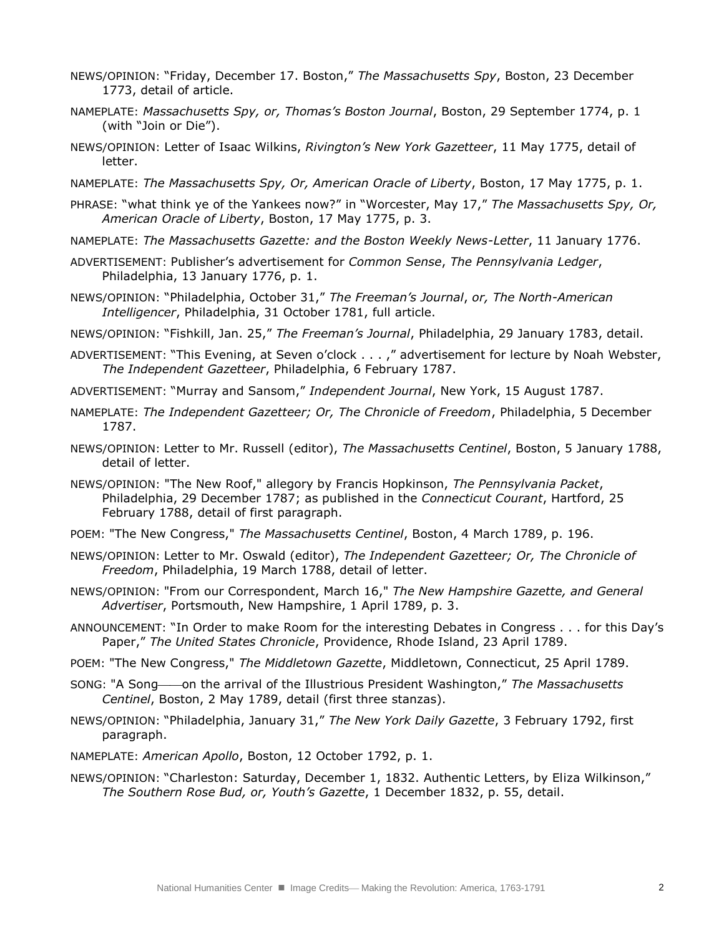- NEWS/OPINION: "Friday, December 17. Boston," *The Massachusetts Spy*, Boston, 23 December 1773, detail of article.
- NAMEPLATE: *Massachusetts Spy, or, Thomas's Boston Journal*, Boston, 29 September 1774, p. 1 (with "Join or Die").
- NEWS/OPINION: Letter of Isaac Wilkins, *Rivington's New York Gazetteer*, 11 May 1775, detail of letter.
- NAMEPLATE: *The Massachusetts Spy, Or, American Oracle of Liberty*, Boston, 17 May 1775, p. 1.
- PHRASE: "what think ye of the Yankees now?" in "Worcester, May 17," *The Massachusetts Spy, Or, American Oracle of Liberty*, Boston, 17 May 1775, p. 3.
- NAMEPLATE: *The Massachusetts Gazette: and the Boston Weekly News-Letter*, 11 January 1776.
- ADVERTISEMENT: Publisher's advertisement for *Common Sense*, *The Pennsylvania Ledger*, Philadelphia, 13 January 1776, p. 1.
- NEWS/OPINION: "Philadelphia, October 31," *The Freeman's Journal*, *or, The North-American Intelligencer*, Philadelphia, 31 October 1781, full article.
- NEWS/OPINION: "Fishkill, Jan. 25," *The Freeman's Journal*, Philadelphia, 29 January 1783, detail.
- ADVERTISEMENT: "This Evening, at Seven o'clock . . . ," advertisement for lecture by Noah Webster, *The Independent Gazetteer*, Philadelphia, 6 February 1787.
- ADVERTISEMENT: "Murray and Sansom," *Independent Journal*, New York, 15 August 1787.
- NAMEPLATE: *The Independent Gazetteer; Or, The Chronicle of Freedom*, Philadelphia, 5 December 1787.
- NEWS/OPINION: Letter to Mr. Russell (editor), *The Massachusetts Centinel*, Boston, 5 January 1788, detail of letter.
- NEWS/OPINION: "The New Roof," allegory by Francis Hopkinson, *The Pennsylvania Packet*, Philadelphia, 29 December 1787; as published in the *Connecticut Courant*, Hartford, 25 February 1788, detail of first paragraph.
- POEM: "The New Congress," *The Massachusetts Centinel*, Boston, 4 March 1789, p. 196.
- NEWS/OPINION: Letter to Mr. Oswald (editor), *The Independent Gazetteer; Or, The Chronicle of Freedom*, Philadelphia, 19 March 1788, detail of letter.
- NEWS/OPINION: "From our Correspondent, March 16," *The New Hampshire Gazette, and General Advertiser*, Portsmouth, New Hampshire, 1 April 1789, p. 3.
- ANNOUNCEMENT: "In Order to make Room for the interesting Debates in Congress . . . for this Day's Paper," *The United States Chronicle*, Providence, Rhode Island, 23 April 1789.
- POEM: "The New Congress," *The Middletown Gazette*, Middletown, Connecticut, 25 April 1789.
- SONG: "A Song-on the arrival of the Illustrious President Washington," The Massachusetts *Centinel*, Boston, 2 May 1789, detail (first three stanzas).
- NEWS/OPINION: "Philadelphia, January 31," *The New York Daily Gazette*, 3 February 1792, first paragraph.
- NAMEPLATE: *American Apollo*, Boston, 12 October 1792, p. 1.
- NEWS/OPINION: "Charleston: Saturday, December 1, 1832. Authentic Letters, by Eliza Wilkinson," *The Southern Rose Bud, or, Youth's Gazette*, 1 December 1832, p. 55, detail.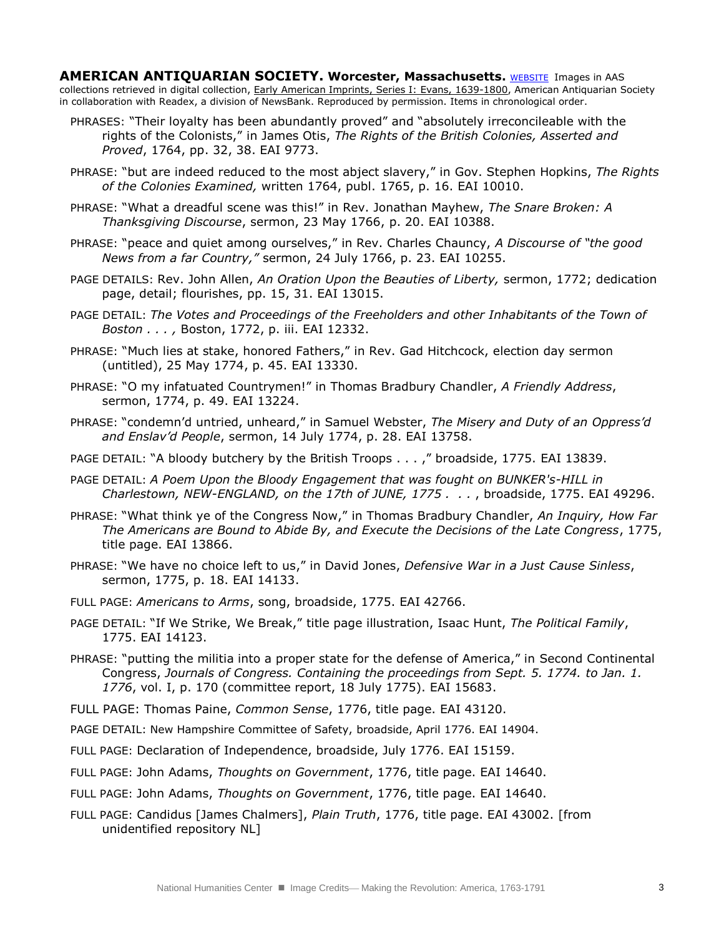**AMERICAN ANTIQUARIAN SOCIETY. Worcester, Massachusetts. [WEBSITE](http://www.americanantiquarian.org/) Images in AAS** collections retrieved in digital collection, Early American Imprints, Series I: Evans, 1639-1800, American Antiquarian Society in collaboration with Readex, a division of NewsBank. Reproduced by permission. Items in chronological order.

- PHRASES: "Their loyalty has been abundantly proved" and "absolutely irreconcileable with the rights of the Colonists," in James Otis, *The Rights of the British Colonies, Asserted and Proved*, 1764, pp. 32, 38. EAI 9773.
- PHRASE: "but are indeed reduced to the most abject slavery," in Gov. Stephen Hopkins, *The Rights of the Colonies Examined,* written 1764, publ. 1765, p. 16. EAI 10010.
- PHRASE: "What a dreadful scene was this!" in Rev. Jonathan Mayhew, *The Snare Broken: A Thanksgiving Discourse*, sermon, 23 May 1766, p. 20. EAI 10388.
- PHRASE: "peace and quiet among ourselves," in Rev. Charles Chauncy, *A Discourse of "the good News from a far Country,"* sermon, 24 July 1766, p. 23. EAI 10255.
- PAGE DETAILS: Rev. John Allen, *An Oration Upon the Beauties of Liberty,* sermon, 1772; dedication page, detail; flourishes, pp. 15, 31. EAI 13015.
- PAGE DETAIL: *The Votes and Proceedings of the Freeholders and other Inhabitants of the Town of Boston . . . ,* Boston, 1772, p. iii. EAI 12332.
- PHRASE: "Much lies at stake, honored Fathers," in Rev. Gad Hitchcock, election day sermon (untitled), 25 May 1774, p. 45. EAI 13330.
- PHRASE: "O my infatuated Countrymen!" in Thomas Bradbury Chandler, *A Friendly Address*, sermon, 1774, p. 49. EAI 13224.
- PHRASE: "condemn'd untried, unheard," in Samuel Webster, *The Misery and Duty of an Oppress'd and Enslav'd People*, sermon, 14 July 1774, p. 28. EAI 13758.
- PAGE DETAIL: "A bloody butchery by the British Troops . . . ," broadside, 1775. EAI 13839.
- PAGE DETAIL: *A Poem Upon the Bloody Engagement that was fought on BUNKER's-HILL in Charlestown, NEW-ENGLAND, on the 17th of JUNE, 1775 . . .* , broadside, 1775. EAI 49296.
- PHRASE: "What think ye of the Congress Now," in Thomas Bradbury Chandler, *An Inquiry, How Far The Americans are Bound to Abide By, and Execute the Decisions of the Late Congress*, 1775, title page. EAI 13866.
- PHRASE: "We have no choice left to us," in David Jones, *Defensive War in a Just Cause Sinless*, sermon, 1775, p. 18. EAI 14133.
- FULL PAGE: *Americans to Arms*, song, broadside, 1775. EAI 42766.
- PAGE DETAIL: "If We Strike, We Break," title page illustration, Isaac Hunt, *The Political Family*, 1775. EAI 14123.
- PHRASE: "putting the militia into a proper state for the defense of America," in Second Continental Congress, *Journals of Congress. Containing the proceedings from Sept. 5. 1774. to Jan. 1. 1776*, vol. I, p. 170 (committee report, 18 July 1775). EAI 15683.
- FULL PAGE: Thomas Paine, *Common Sense*, 1776, title page. EAI 43120.
- PAGE DETAIL: New Hampshire Committee of Safety, broadside, April 1776. EAI 14904.
- FULL PAGE: Declaration of Independence, broadside, July 1776. EAI 15159.
- FULL PAGE: John Adams, *Thoughts on Government*, 1776, title page. EAI 14640.
- FULL PAGE: John Adams, *Thoughts on Government*, 1776, title page. EAI 14640.
- FULL PAGE: Candidus [James Chalmers], *Plain Truth*, 1776, title page. EAI 43002. [from unidentified repository NL]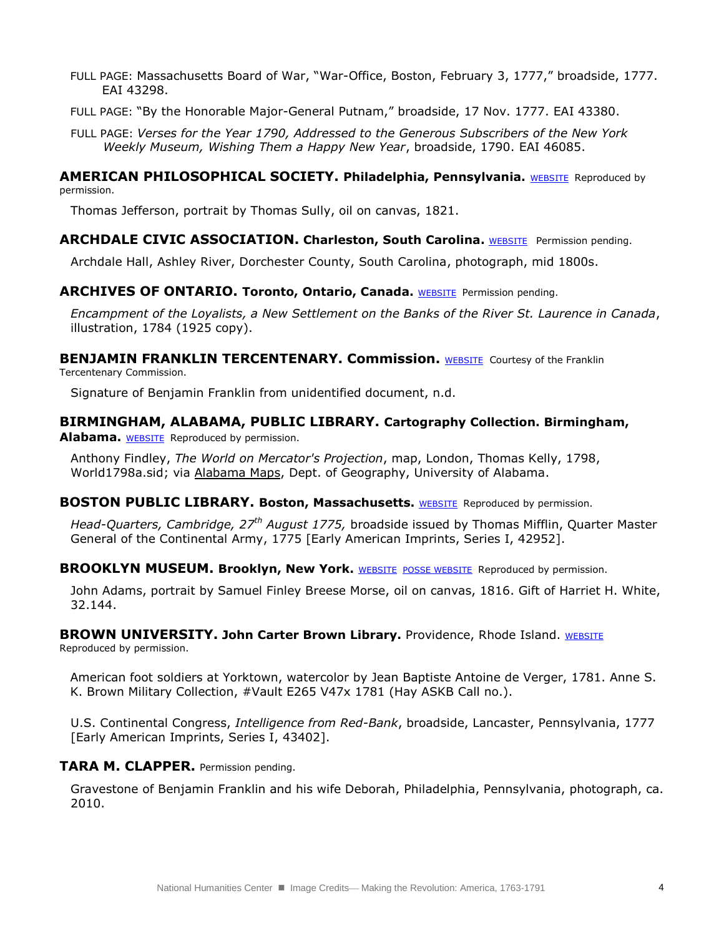- FULL PAGE: Massachusetts Board of War, "War-Office, Boston, February 3, 1777," broadside, 1777. EAI 43298.
- FULL PAGE: "By the Honorable Major-General Putnam," broadside, 17 Nov. 1777. EAI 43380.
- FULL PAGE: *Verses for the Year 1790, Addressed to the Generous Subscribers of the New York Weekly Museum, Wishing Them a Happy New Year*, broadside, 1790. EAI 46085.

#### **AMERICAN PHILOSOPHICAL SOCIETY. Philadelphia, Pennsylvania.** [WEBSITE](http://www.amphilsoc.org/) Reproduced by permission.

Thomas Jefferson, portrait by Thomas Sully, oil on canvas, 1821.

#### **ARCHDALE CIVIC ASSOCIATION. Charleston, South Carolina. [WEBSITE](http://www.myarchdale.com/) Permission pending.**

Archdale Hall, Ashley River, Dorchester County, South Carolina, photograph, mid 1800s.

#### **ARCHIVES OF ONTARIO. Toronto, Ontario, Canada. [WEBSITE](http://www.archives.gov.on.ca/english/index.aspx) Permission pending.**

*Encampment of the Loyalists, a New Settlement on the Banks of the River St. Laurence in Canada*, illustration, 1784 (1925 copy).

**BENJAMIN FRANKLIN TERCENTENARY. Commission.** [WEBSITE](http://www.benfranklin300.org/index.php) Courtesy of the Franklin Tercentenary Commission.

Signature of Benjamin Franklin from unidentified document, n.d.

## **BIRMINGHAM, ALABAMA, PUBLIC LIBRARY. Cartography Collection. Birmingham,**

**Alabama.** [WEBSITE](http://www.bplonline.org/resources/maps/) Reproduced by permission.

Anthony Findley, *The World on Mercator's Projection*, map, London, Thomas Kelly, 1798, World1798a.sid; via [Alabama Maps,](http://alabamamaps.ua.edu/) Dept. of Geography, University of Alabama.

#### **BOSTON PUBLIC LIBRARY. Boston, Massachusetts. [WEBSITE](http://www.bpl.org/) Reproduced by permission.**

*Head-Quarters, Cambridge, 27th August 1775,* broadside issued by Thomas Mifflin, Quarter Master General of the Continental Army, 1775 [Early American Imprints, Series I, 42952].

**BROOKLYN MUSEUM. Brooklyn, New York.** [WEBSITE](http://www.brooklynmuseum.org/) [POSSE WEBSITE](http://www.brooklynmuseum.org/community/posse/) Reproduced by permission.

John Adams, portrait by Samuel Finley Breese Morse, oil on canvas, 1816. Gift of Harriet H. White, 32.144.

**BROWN UNIVERSITY. John Carter Brown Library.** Providence, Rhode Island. [WEBSITE](http://www.brown.edu/Facilities/John_Carter_Brown_Library/)

Reproduced by permission.

American foot soldiers at Yorktown, watercolor by Jean Baptiste Antoine de Verger, 1781. Anne S. K. Brown Military Collection, #Vault E265 V47x 1781 (Hay ASKB Call no.).

U.S. Continental Congress, *Intelligence from Red-Bank*, broadside, Lancaster, Pennsylvania, 1777 [Early American Imprints, Series I, 43402].

#### **TARA M. CLAPPER.** Permission pending.

Gravestone of Benjamin Franklin and his wife Deborah, Philadelphia, Pennsylvania, photograph, ca. 2010.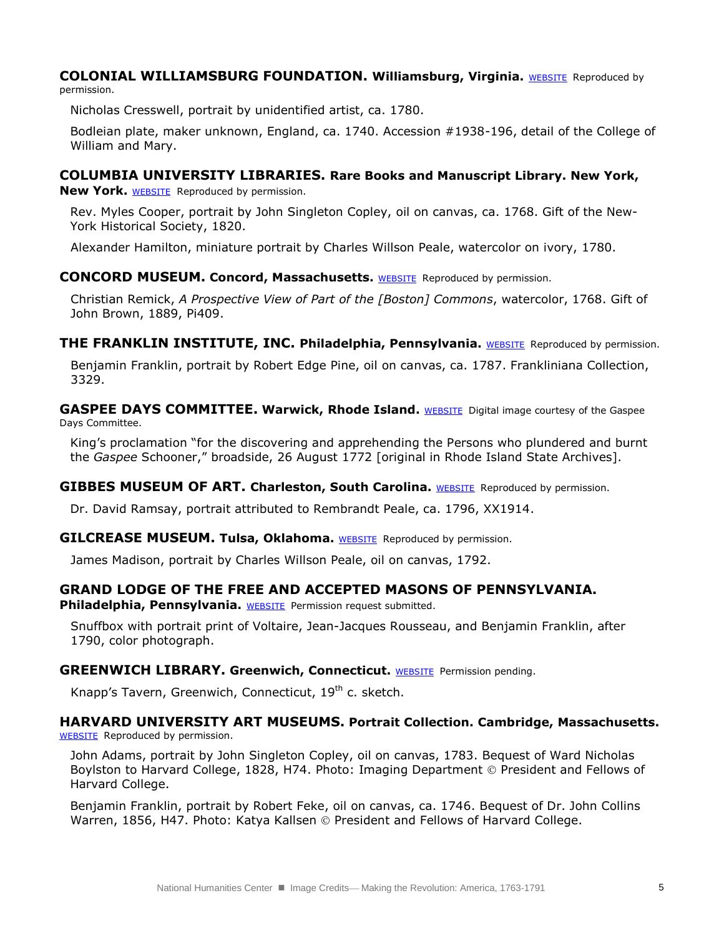#### **COLONIAL WILLIAMSBURG FOUNDATION. Williamsburg, Virginia.** [WEBSITE](http://www.history.org/) Reproduced by permission.

Nicholas Cresswell, portrait by unidentified artist, ca. 1780.

Bodleian plate, maker unknown, England, ca. 1740. Accession #1938-196, detail of the College of William and Mary.

## **COLUMBIA UNIVERSITY LIBRARIES. Rare Books and Manuscript Library. New York,**

**New York.** [WEBSITE](http://www.columbia.edu/cu/lweb/indiv/rbml/) Reproduced by permission.

Rev. Myles Cooper, portrait by John Singleton Copley, oil on canvas, ca. 1768. Gift of the New-York Historical Society, 1820.

Alexander Hamilton, miniature portrait by Charles Willson Peale, watercolor on ivory, 1780.

## **CONCORD MUSEUM. Concord, Massachusetts. [WEBSITE](http://www.concordmuseum.org/) Reproduced by permission.**

Christian Remick, *A Prospective View of Part of the [Boston] Commons*, watercolor, 1768. Gift of John Brown, 1889, Pi409.

**THE FRANKLIN INSTITUTE, INC. Philadelphia, Pennsylvania.** [WEBSITE](http://www2.fi.edu/) Reproduced by permission.

Benjamin Franklin, portrait by Robert Edge Pine, oil on canvas, ca. 1787. Frankliniana Collection, 3329.

**GASPEE DAYS COMMITTEE. Warwick, Rhode Island.** [WEBSITE](http://gaspee.org/) Digital image courtesy of the Gaspee Days Committee.

King's proclamation "for the discovering and apprehending the Persons who plundered and burnt the *Gaspee* Schooner," broadside, 26 August 1772 [original in Rhode Island State Archives].

## **GIBBES MUSEUM OF ART. Charleston, South Carolina. [WEBSITE](http://www.gibbesmuseum.org/) Reproduced by permission.**

Dr. David Ramsay, portrait attributed to Rembrandt Peale, ca. 1796, XX1914.

#### **GILCREASE MUSEUM. Tulsa, Oklahoma.** [WEBSITE](http://www.gilcrease.org/) Reproduced by permission.

James Madison, portrait by Charles Willson Peale, oil on canvas, 1792.

## **GRAND LODGE OF THE FREE AND ACCEPTED MASONS OF PENNSYLVANIA.**

**Philadelphia, Pennsylvania.** [WEBSITE](http://www.pagrandlodge.org/index.html) Permission request submitted.

Snuffbox with portrait print of Voltaire, Jean-Jacques Rousseau, and Benjamin Franklin, after 1790, color photograph.

#### **GREENWICH LIBRARY. Greenwich, Connecticut.** [WEBSITE](http://www.greenwichlibrary.org/) Permission pending.

Knapp's Tavern, Greenwich, Connecticut, 19<sup>th</sup> c. sketch.

#### **HARVARD UNIVERSITY ART MUSEUMS. Portrait Collection. Cambridge, Massachusetts.** [WEBSITE](http://www.harvardartmuseums.org/home/) Reproduced by permission.

John Adams, portrait by John Singleton Copley, oil on canvas, 1783. Bequest of Ward Nicholas Boylston to Harvard College, 1828, H74. Photo: Imaging Department © President and Fellows of Harvard College.

Benjamin Franklin, portrait by Robert Feke, oil on canvas, ca. 1746. Bequest of Dr. John Collins Warren, 1856, H47. Photo: Katya Kallsen  $\odot$  President and Fellows of Harvard College.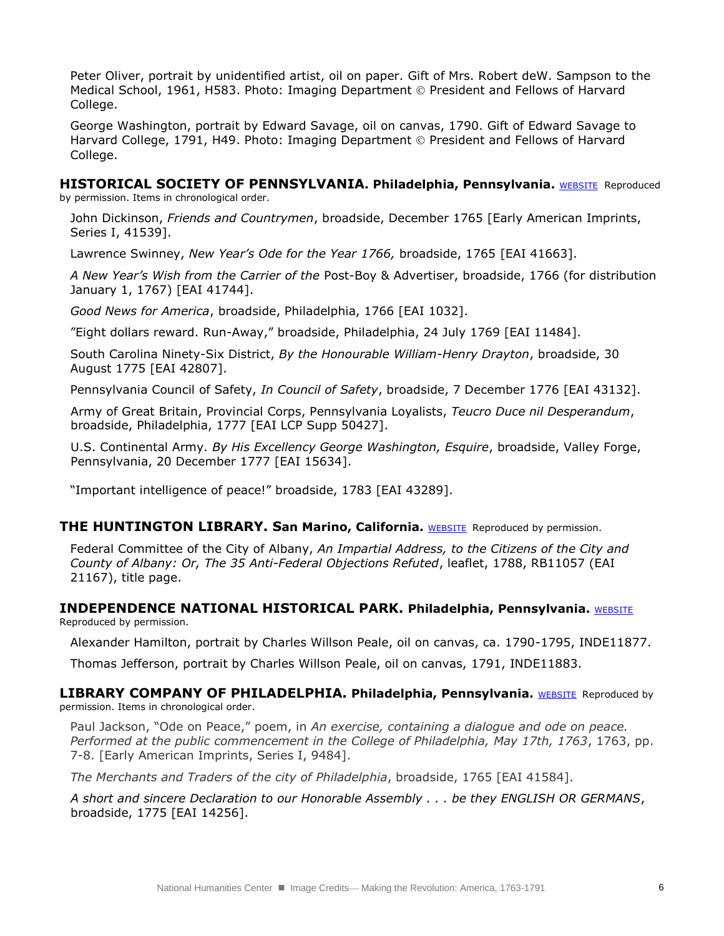Peter Oliver, portrait by unidentified artist, oil on paper. Gift of Mrs. Robert deW. Sampson to the Medical School, 1961, H583. Photo: Imaging Department © President and Fellows of Harvard College.

George Washington, portrait by Edward Savage, oil on canvas, 1790. Gift of Edward Savage to Harvard College, 1791, H49. Photo: Imaging Department © President and Fellows of Harvard College.

## **HISTORICAL SOCIETY OF PENNSYLVANIA. Philadelphia, Pennsylvania. [WEBSITE](http://www.hsp.org/) Reproduced**

by permission. Items in chronological order.

John Dickinson, *Friends and Countrymen*, broadside, December 1765 [Early American Imprints, Series I, 41539].

Lawrence Swinney, *New Year's Ode for the Year 1766,* broadside, 1765 [EAI 41663].

*A New Year's Wish from the Carrier of the* Post-Boy & Advertiser, broadside, 1766 (for distribution January 1, 1767) [EAI 41744].

*Good News for America*, broadside, Philadelphia, 1766 [EAI 1032].

"Eight dollars reward. Run-Away," broadside, Philadelphia, 24 July 1769 [EAI 11484].

South Carolina Ninety-Six District, *By the Honourable William-Henry Drayton*, broadside, 30 August 1775 [EAI 42807].

Pennsylvania Council of Safety, *In Council of Safety*, broadside, 7 December 1776 [EAI 43132].

Army of Great Britain, Provincial Corps, Pennsylvania Loyalists, *Teucro Duce nil Desperandum*, broadside, Philadelphia, 1777 [EAI LCP Supp 50427].

U.S. Continental Army. *By His Excellency George Washington, Esquire*, broadside, Valley Forge, Pennsylvania, 20 December 1777 [EAI 15634].

"Important intelligence of peace!" broadside, 1783 [EAI 43289].

#### **THE HUNTINGTON LIBRARY. San Marino, California.** [WEBSITE](http://www.huntington.org/) Reproduced by permission.

Federal Committee of the City of Albany, *An Impartial Address, to the Citizens of the City and County of Albany: Or, The 35 Anti-Federal Objections Refuted*, leaflet, 1788, RB11057 (EAI 21167), title page.

#### **INDEPENDENCE NATIONAL HISTORICAL PARK. Philadelphia, Pennsylvania.** [WEBSITE](http://www.nps.gov/inde/index.htm) Reproduced by permission.

Alexander Hamilton, portrait by Charles Willson Peale, oil on canvas, ca. 1790-1795, INDE11877.

Thomas Jefferson, portrait by Charles Willson Peale, oil on canvas, 1791, INDE11883.

#### **LIBRARY COMPANY OF PHILADELPHIA. Philadelphia, Pennsylvania.** [WEBSITE](http://www.librarycompany.org/) Reproduced by permission. Items in chronological order.

Paul Jackson, "Ode on Peace," poem, in *An exercise, containing a dialogue and ode on peace. Performed at the public commencement in the College of Philadelphia, May 17th, 1763*, 1763, pp. 7-8. [Early American Imprints, Series I, 9484].

*The Merchants and Traders of the city of Philadelphia*, broadside, 1765 [EAI 41584].

*A short and sincere Declaration to our Honorable Assembly . . . be they ENGLISH OR GERMANS*, broadside, 1775 [EAI 14256].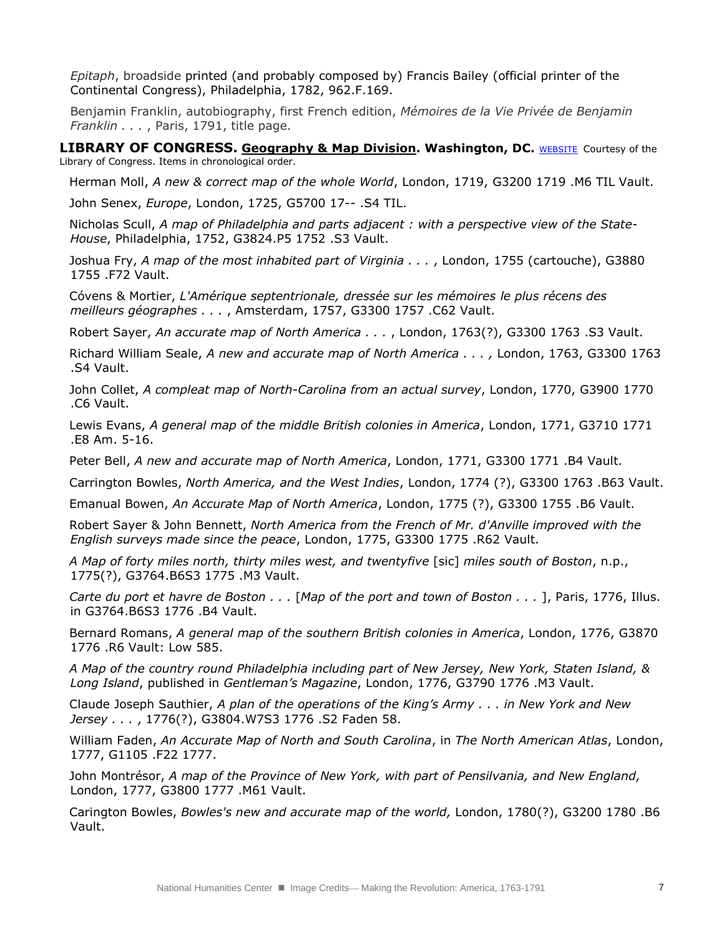*Epitaph*, broadside printed (and probably composed by) Francis Bailey (official printer of the Continental Congress), Philadelphia, 1782, 962.F.169.

Benjamin Franklin, autobiography, first French edition, *Mémoires de la Vie Privée de Benjamin Franklin . . .* , Paris, 1791, title page.

**LIBRARY OF CONGRESS. Geography & Map Division. Washington, DC.** [WEBSITE](http://memory.loc.gov/ammem/gmdhtml/) Courtesy of the Library of Congress. Items in chronological order.

Herman Moll, *A new & correct map of the whole World*, London, 1719, G3200 1719 .M6 TIL Vault.

John Senex, *Europe*, London, 1725, G5700 17-- .S4 TIL.

Nicholas Scull, *A map of Philadelphia and parts adjacent : with a perspective view of the State-House*, Philadelphia, 1752, G3824.P5 1752 .S3 Vault.

Joshua Fry, *A map of the most inhabited part of Virginia . . .* , London, 1755 (cartouche), G3880 1755 .F72 Vault.

Cóvens & Mortier, *L'Amérique septentrionale, dressée sur les mémoires le plus récens des meilleurs géographes . . .* , Amsterdam, 1757, G3300 1757 .C62 Vault.

Robert Sayer, *An accurate map of North America . . .* , London, 1763(?), G3300 1763 .S3 Vault.

Richard William Seale, *A new and accurate map of North America . . . ,* London, 1763, G3300 1763 .S4 Vault.

John Collet, *A compleat map of North-Carolina from an actual survey*, London, 1770, G3900 1770 .C6 Vault.

Lewis Evans, *A general map of the middle British colonies in America*, London, 1771, G3710 1771 .E8 Am. 5-16.

Peter Bell, *A new and accurate map of North America*, London, 1771, G3300 1771 .B4 Vault.

Carrington Bowles, *North America, and the West Indies*, London, 1774 (?), G3300 1763 .B63 Vault.

Emanual Bowen, *An Accurate Map of North America*, London, 1775 (?), G3300 1755 .B6 Vault.

Robert Sayer & John Bennett, *North America from the French of Mr. d'Anville improved with the English surveys made since the peace*, London, 1775, G3300 1775 .R62 Vault.

*A Map of forty miles north, thirty miles west, and twentyfive* [sic] *miles south of Boston*, n.p., 1775(?), G3764.B6S3 1775 .M3 Vault.

*Carte du port et havre de Boston . . .* [*Map of the port and town of Boston . . .* ], Paris, 1776, Illus. in G3764.B6S3 1776 .B4 Vault.

Bernard Romans, *A general map of the southern British colonies in America*, London, 1776, G3870 1776 .R6 Vault: Low 585.

*A Map of the country round Philadelphia including part of New Jersey, New York, Staten Island, & Long Island*, published in *Gentleman's Magazine*, London, 1776, G3790 1776 .M3 Vault.

Claude Joseph Sauthier, *A plan of the operations of the King's Army . . . in New York and New Jersey . . .* , 1776(?), G3804.W7S3 1776 .S2 Faden 58.

William Faden, *An Accurate Map of North and South Carolina*, in *The North American Atlas*, London, 1777, G1105 .F22 1777.

John Montrésor, *A map of the Province of New York, with part of Pensilvania, and New England,* London, 1777, G3800 1777 .M61 Vault.

Carington Bowles, *Bowles's new and accurate map of the world,* London, 1780(?), G3200 1780 .B6 Vault.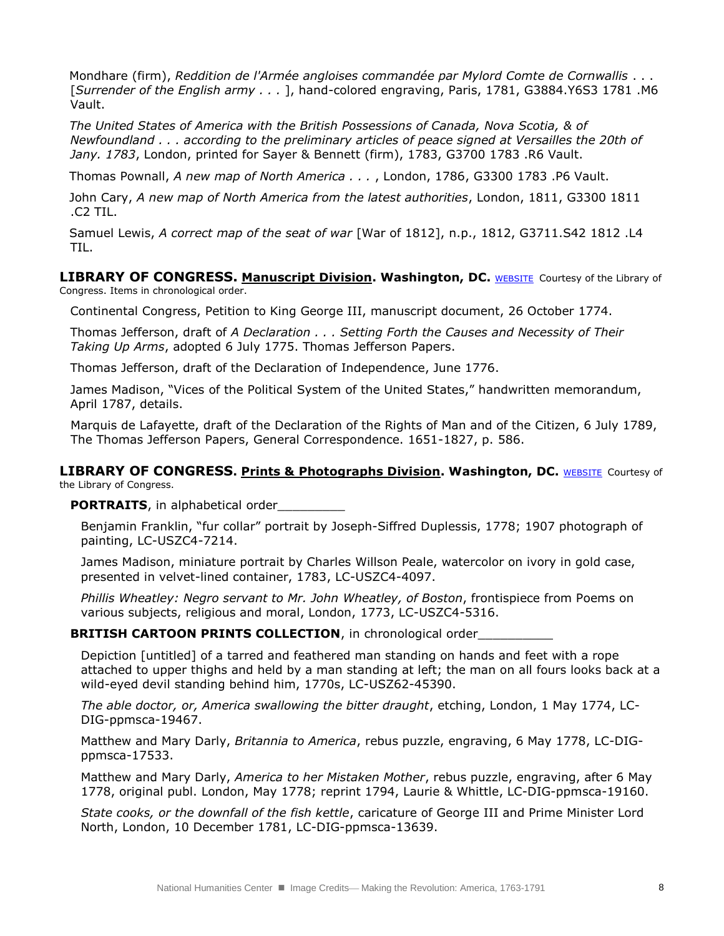Mondhare (firm), *Reddition de l'Armée angloises commandée par Mylord Comte de Cornwallis* . . . [*Surrender of the English army . . .* ], hand-colored engraving, Paris, 1781, G3884.Y6S3 1781 .M6 Vault.

*The United States of America with the British Possessions of Canada, Nova Scotia, & of Newfoundland . . . according to the preliminary articles of peace signed at Versailles the 20th of Jany. 1783*, London, printed for Sayer & Bennett (firm), 1783, G3700 1783 .R6 Vault.

Thomas Pownall, *A new map of North America . . .* , London, 1786, G3300 1783 .P6 Vault.

John Cary, *A new map of North America from the latest authorities*, London, 1811, G3300 1811 .C2 TIL.

Samuel Lewis, *A correct map of the seat of war* [War of 1812], n.p., 1812, G3711.S42 1812 .L4 TIL.

**LIBRARY OF CONGRESS. Manuscript Division. Washington, DC. [WEBSITE](http://www.loc.gov/rr/mss/) Courtesy of the Library of** Congress. Items in chronological order.

Continental Congress, Petition to King George III, manuscript document, 26 October 1774.

Thomas Jefferson, draft of *A Declaration . . . Setting Forth the Causes and Necessity of Their Taking Up Arms*, adopted 6 July 1775. Thomas Jefferson Papers.

Thomas Jefferson, draft of the Declaration of Independence, June 1776.

James Madison, "Vices of the Political System of the United States," handwritten memorandum, April 1787, details.

Marquis de Lafayette, draft of the Declaration of the Rights of Man and of the Citizen, 6 July 1789, The Thomas Jefferson Papers, General Correspondence. 1651-1827, p. 586.

#### **LIBRARY OF CONGRESS. Prints & Photographs Division. Washington, DC. [WEBSITE](http://www.loc.gov/pictures/#show_search_options) Courtesy of** the Library of Congress.

**PORTRAITS**, in alphabetical order\_\_\_\_\_\_\_\_\_

Benjamin Franklin, "fur collar" portrait by Joseph-Siffred Duplessis, 1778; 1907 photograph of painting, LC-USZC4-7214.

James Madison, miniature portrait by Charles Willson Peale, watercolor on ivory in gold case, presented in velvet-lined container, 1783, LC-USZC4-4097.

*Phillis Wheatley: Negro servant to Mr. John Wheatley, of Boston*, frontispiece from Poems on various subjects, religious and moral, London, 1773, LC-USZC4-5316.

#### **BRITISH CARTOON PRINTS COLLECTION**, in chronological order

Depiction [untitled] of a tarred and feathered man standing on hands and feet with a rope attached to upper thighs and held by a man standing at left; the man on all fours looks back at a wild-eyed devil standing behind him, 1770s, LC-USZ62-45390.

*The able doctor, or, America swallowing the bitter draught*, etching, London, 1 May 1774, LC-DIG-ppmsca-19467.

Matthew and Mary Darly, *Britannia to America*, rebus puzzle, engraving, 6 May 1778, LC-DIGppmsca-17533.

Matthew and Mary Darly, *America to her Mistaken Mother*, rebus puzzle, engraving, after 6 May 1778, original publ. London, May 1778; reprint 1794, Laurie & Whittle, LC-DIG-ppmsca-19160.

*State cooks, or the downfall of the fish kettle*, caricature of George III and Prime Minister Lord North, London, 10 December 1781, LC-DIG-ppmsca-13639.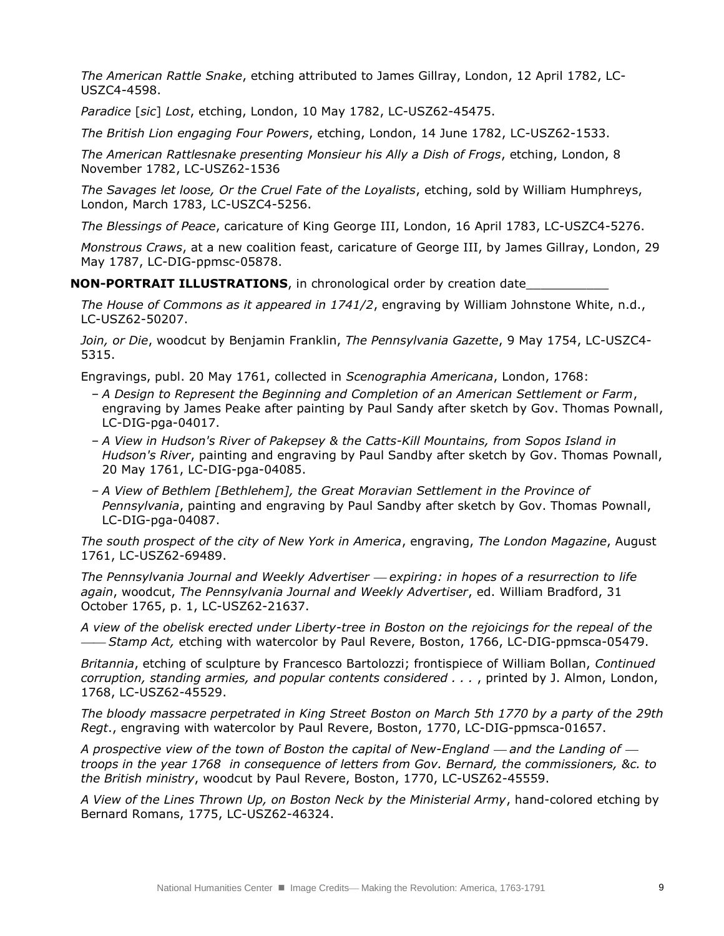*The American Rattle Snake*, etching attributed to James Gillray, London, 12 April 1782, LC-USZC4-4598.

*Paradice* [*sic*] *Lost*, etching, London, 10 May 1782, LC-USZ62-45475.

*The British Lion engaging Four Powers*, etching, London, 14 June 1782, LC-USZ62-1533.

*The American Rattlesnake presenting Monsieur his Ally a Dish of Frogs*, etching, London, 8 November 1782, LC-USZ62-1536

*The Savages let loose, Or the Cruel Fate of the Loyalists*, etching, sold by William Humphreys, London, March 1783, LC-USZC4-5256.

*The Blessings of Peace*, caricature of King George III, London, 16 April 1783, LC-USZC4-5276.

*Monstrous Craws*, at a new coalition feast, caricature of George III, by James Gillray, London, 29 May 1787, LC-DIG-ppmsc-05878.

**NON-PORTRAIT ILLUSTRATIONS**, in chronological order by creation date

*The House of Commons as it appeared in 1741/2*, engraving by William Johnstone White, n.d., LC-USZ62-50207.

*Join, or Die*, woodcut by Benjamin Franklin, *The Pennsylvania Gazette*, 9 May 1754, LC-USZC4- 5315.

Engravings, publ. 20 May 1761, collected in *Scenographia Americana*, London, 1768:

- *A Design to Represent the Beginning and Completion of an American Settlement or Farm*, engraving by James Peake after painting by Paul Sandy after sketch by Gov. Thomas Pownall, LC-DIG-pga-04017.
- *A View in Hudson's River of Pakepsey & the Catts-Kill Mountains, from Sopos Island in Hudson's River*, painting and engraving by Paul Sandby after sketch by Gov. Thomas Pownall, 20 May 1761, LC-DIG-pga-04085.
- *– A View of Bethlem [Bethlehem], the Great Moravian Settlement in the Province of Pennsylvania*, painting and engraving by Paul Sandby after sketch by Gov. Thomas Pownall, LC-DIG-pga-04087.

*The south prospect of the city of New York in America*, engraving, *The London Magazine*, August 1761, LC-USZ62-69489.

*The Pennsylvania Journal and Weekly Advertiser expiring: in hopes of a resurrection to life again*, woodcut, *The Pennsylvania Journal and Weekly Advertiser*, ed. William Bradford, 31 October 1765, p. 1, LC-USZ62-21637.

*A view of the obelisk erected under Liberty-tree in Boston on the rejoicings for the repeal of the Stamp Act,* etching with watercolor by Paul Revere, Boston, 1766, LC-DIG-ppmsca-05479.

*Britannia*, etching of sculpture by Francesco Bartolozzi; frontispiece of William Bollan, *Continued corruption, standing armies, and popular contents considered . . .* , printed by J. Almon, London, 1768, LC-USZ62-45529.

*The bloody massacre perpetrated in King Street Boston on March 5th 1770 by a party of the 29th Regt*., engraving with watercolor by Paul Revere, Boston, 1770, LC-DIG-ppmsca-01657.

A prospective view of the town of Boston the capital of New-England — and the Landing of *troops in the year 1768 in consequence of letters from Gov. Bernard, the commissioners, &c. to the British ministry*, woodcut by Paul Revere, Boston, 1770, LC-USZ62-45559.

*A View of the Lines Thrown Up, on Boston Neck by the Ministerial Army*, hand-colored etching by Bernard Romans, 1775, LC-USZ62-46324.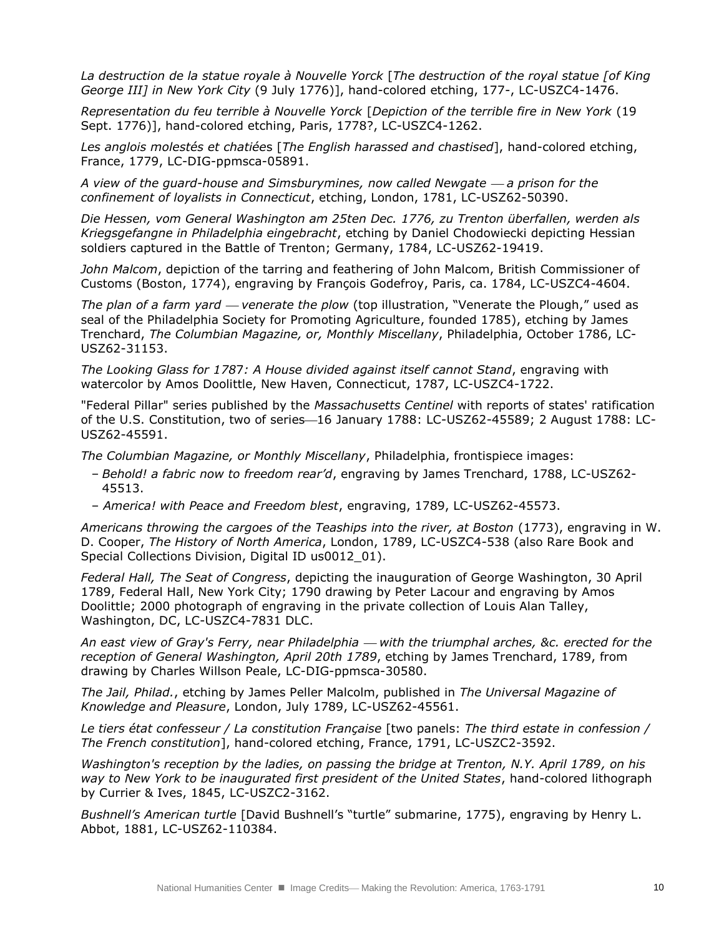*La destruction de la statue royale à Nouvelle Yorck* [*The destruction of the royal statue [of King George III] in New York City* (9 July 1776)], hand-colored etching, 177-, LC-USZC4-1476.

*Representation du feu terrible à Nouvelle Yorck* [*Depiction of the terrible fire in New York* (19 Sept. 1776)], hand-colored etching, Paris, 1778?, LC-USZC4-1262.

*Les anglois molestés et chatiée*s [*The English harassed and chastised*], hand-colored etching, France, 1779, LC-DIG-ppmsca-05891.

*A view of the guard-house and Simsburymines, now called Newgate a prison for the confinement of loyalists in Connecticut*, etching, London, 1781, LC-USZ62-50390.

*Die Hessen, vom General Washington am 25ten Dec. 1776, zu Trenton überfallen, werden als Kriegsgefangne in Philadelphia eingebracht*, etching by Daniel Chodowiecki depicting Hessian soldiers captured in the Battle of Trenton; Germany, 1784, LC-USZ62-19419.

*John Malcom*, depiction of the tarring and feathering of John Malcom, British Commissioner of Customs (Boston, 1774), engraving by François Godefroy, Paris, ca. 1784, LC-USZC4-4604.

*The plan of a farm yard — venerate the plow* (top illustration, "Venerate the Plough," used as seal of the Philadelphia Society for Promoting Agriculture, founded 1785), etching by James Trenchard, *The Columbian Magazine, or, Monthly Miscellany*, Philadelphia, October 1786, LC-USZ62-31153.

*The Looking Glass for 178*7*: A House divided against itself cannot Stand*, engraving with watercolor by Amos Doolittle, New Haven, Connecticut, 1787, LC-USZC4-1722.

"Federal Pillar" series published by the *Massachusetts Centinel* with reports of states' ratification of the U.S. Constitution, two of series-16 January 1788: LC-USZ62-45589; 2 August 1788: LC-USZ62-45591.

*The Columbian Magazine, or Monthly Miscellany*, Philadelphia, frontispiece images:

- *Behold! a fabric now to freedom rear'd*, engraving by James Trenchard, 1788, LC-USZ62- 45513.
- *America! with Peace and Freedom blest*, engraving, 1789, LC-USZ62-45573.

*Americans throwing the cargoes of the Teaships into the river, at Boston* (1773), engraving in W. D. Cooper, *The History of North America*, London, 1789, LC-USZC4-538 (also Rare Book and Special Collections Division, Digital ID us0012 01).

*Federal Hall, The Seat of Congress*, depicting the inauguration of George Washington, 30 April 1789, Federal Hall, New York City; 1790 drawing by Peter Lacour and engraving by Amos Doolittle; 2000 photograph of engraving in the private collection of Louis Alan Talley, Washington, DC, LC-USZC4-7831 DLC.

*An east view of Gray's Ferry, near Philadelphia with the triumphal arches, &c. erected for the reception of General Washington, April 20th 1789*, etching by James Trenchard, 1789, from drawing by Charles Willson Peale, LC-DIG-ppmsca-30580.

*The Jail, Philad.*, etching by James Peller Malcolm, published in *The Universal Magazine of Knowledge and Pleasure*, London, July 1789, LC-USZ62-45561.

*Le tiers état confesseur / La constitution Française* [two panels: *The third estate in confession / The French constitution*], hand-colored etching, France, 1791, LC-USZC2-3592.

*Washington's reception by the ladies, on passing the bridge at Trenton, N.Y. April 1789, on his way to New York to be inaugurated first president of the United States*, hand-colored lithograph by Currier & Ives, 1845, LC-USZC2-3162.

*Bushnell's American turtle* [David Bushnell's "turtle" submarine, 1775), engraving by Henry L. Abbot, 1881, LC-USZ62-110384.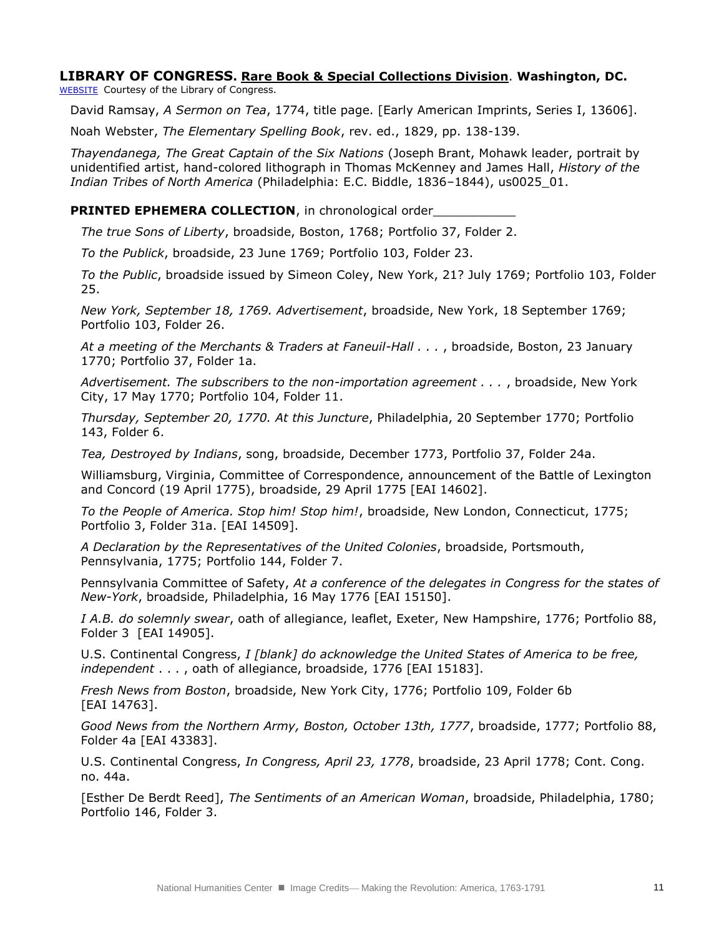## **LIBRARY OF CONGRESS. Rare Book & Special Collections Division**. **Washington, DC.**

[WEBSITE](http://www.loc.gov/pictures/#show_search_options) Courtesy of the Library of Congress.

David Ramsay, *A Sermon on Tea*, 1774, title page. [Early American Imprints, Series I, 13606].

Noah Webster, *The Elementary Spelling Book*, rev. ed., 1829, pp. 138-139.

*Thayendanega, The Great Captain of the Six Nations* (Joseph Brant, Mohawk leader, portrait by unidentified artist, hand-colored lithograph in Thomas McKenney and James Hall, *History of the Indian Tribes of North America* (Philadelphia: E.C. Biddle, 1836–1844), us0025\_01.

#### **PRINTED EPHEMERA COLLECTION**, in chronological order

*The true Sons of Liberty*, broadside, Boston, 1768; Portfolio 37, Folder 2.

*To the Publick*, broadside, 23 June 1769; Portfolio 103, Folder 23.

*To the Public*, broadside issued by Simeon Coley, New York, 21? July 1769; Portfolio 103, Folder 25.

*New York, September 18, 1769. Advertisement*, broadside, New York, 18 September 1769; Portfolio 103, Folder 26.

*At a meeting of the Merchants & Traders at Faneuil-Hall . . .* , broadside, Boston, 23 January 1770; Portfolio 37, Folder 1a.

*Advertisement. The subscribers to the non-importation agreement . . .* , broadside, New York City, 17 May 1770; Portfolio 104, Folder 11.

*Thursday, September 20, 1770. At this Juncture*, Philadelphia, 20 September 1770; Portfolio 143, Folder 6.

*Tea, Destroyed by Indians*, song, broadside, December 1773, Portfolio 37, Folder 24a.

Williamsburg, Virginia, Committee of Correspondence, announcement of the Battle of Lexington and Concord (19 April 1775), broadside, 29 April 1775 [EAI 14602].

*To the People of America. Stop him! Stop him!*, broadside, New London, Connecticut, 1775; Portfolio 3, Folder 31a. [EAI 14509].

*A Declaration by the Representatives of the United Colonies*, broadside, Portsmouth, Pennsylvania, 1775; Portfolio 144, Folder 7.

Pennsylvania Committee of Safety, *At a conference of the delegates in Congress for the states of New-York*, broadside, Philadelphia, 16 May 1776 [EAI 15150].

*I A.B. do solemnly swear*, oath of allegiance, leaflet, Exeter, New Hampshire, 1776; Portfolio 88, Folder 3 [EAI 14905].

U.S. Continental Congress, *I [blank] do acknowledge the United States of America to be free, independent* . . . , oath of allegiance, broadside, 1776 [EAI 15183].

*Fresh News from Boston*, broadside, New York City, 1776; Portfolio 109, Folder 6b [EAI 14763].

*Good News from the Northern Army, Boston, October 13th, 1777*, broadside, 1777; Portfolio 88, Folder 4a [EAI 43383].

U.S. Continental Congress, *In Congress, April 23, 1778*, broadside, 23 April 1778; Cont. Cong. no. 44a.

[Esther De Berdt Reed], *The Sentiments of an American Woman*, broadside, Philadelphia, 1780; Portfolio 146, Folder 3.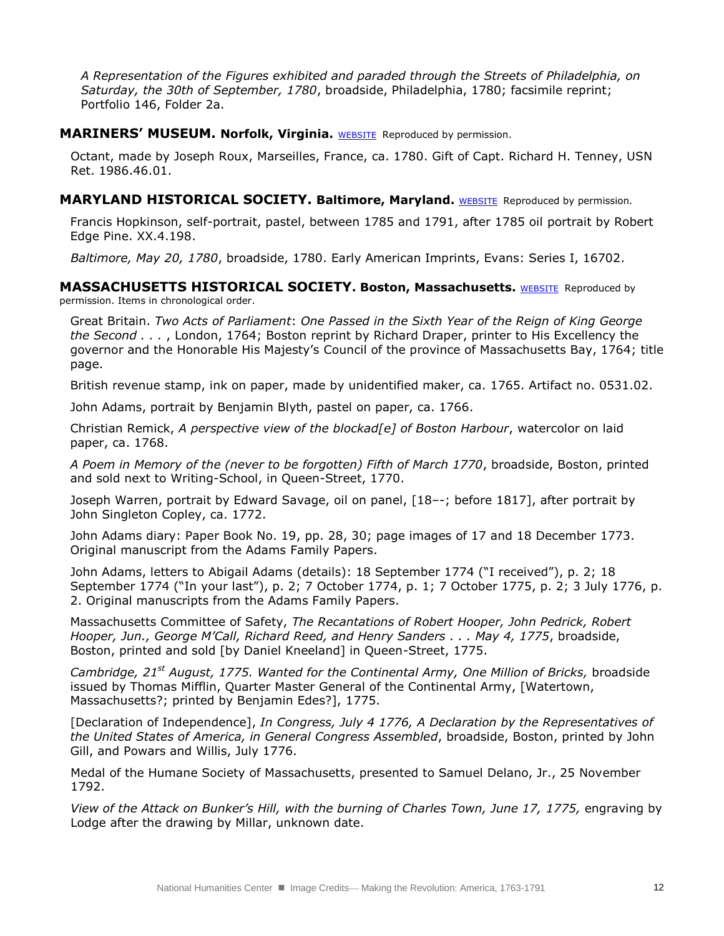*A Representation of the Figures exhibited and paraded through the Streets of Philadelphia, on Saturday, the 30th of September, 1780*, broadside, Philadelphia, 1780; facsimile reprint; Portfolio 146, Folder 2a.

#### **MARINERS' MUSEUM. Norfolk, Virginia.** [WEBSITE](http://www.marinersmuseum.org/) Reproduced by permission.

Octant, made by Joseph Roux, Marseilles, France, ca. 1780. Gift of Capt. Richard H. Tenney, USN Ret. 1986.46.01.

#### **MARYLAND HISTORICAL SOCIETY. Baltimore, Maryland.** [WEBSITE](http://www.mdhs.org/) Reproduced by permission.

Francis Hopkinson, self-portrait, pastel, between 1785 and 1791, after 1785 oil portrait by Robert Edge Pine. XX.4.198.

*Baltimore, May 20, 1780*, broadside, 1780. Early American Imprints, Evans: Series I, 16702.

## **MASSACHUSETTS HISTORICAL SOCIETY. Boston, Massachusetts.** [WEBSITE](http://www.masshist.org/) Reproduced by

permission. Items in chronological order.

Great Britain. *Two Acts of Parliament*: *One Passed in the Sixth Year of the Reign of King George the Second . . .* , London, 1764; Boston reprint by Richard Draper, printer to His Excellency the governor and the Honorable His Majesty's Council of the province of Massachusetts Bay, 1764; title page.

British revenue stamp, ink on paper, made by unidentified maker, ca. 1765. Artifact no. 0531.02.

John Adams, portrait by Benjamin Blyth, pastel on paper, ca. 1766.

Christian Remick, *A perspective view of the blockad[e] of Boston Harbour*, watercolor on laid paper, ca. 1768.

*A Poem in Memory of the (never to be forgotten) Fifth of March 1770*, broadside, Boston, printed and sold next to Writing-School, in Queen-Street, 1770.

Joseph Warren, portrait by Edward Savage, oil on panel, [18–-; before 1817], after portrait by John Singleton Copley, ca. 1772.

John Adams diary: Paper Book No. 19, pp. 28, 30; page images of 17 and 18 December 1773. Original manuscript from the Adams Family Papers.

John Adams, letters to Abigail Adams (details): 18 September 1774 ("I received"), p. 2; 18 September 1774 ("In your last"), p. 2; 7 October 1774, p. 1; 7 October 1775, p. 2; 3 July 1776, p. 2. Original manuscripts from the Adams Family Papers.

Massachusetts Committee of Safety, *The Recantations of Robert Hooper, John Pedrick, Robert Hooper, Jun., George M'Call, Richard Reed, and Henry Sanders . . . May 4, 1775*, broadside, Boston, printed and sold [by Daniel Kneeland] in Queen-Street, 1775.

*Cambridge, 21st August, 1775. Wanted for the Continental Army, One Million of Bricks,* broadside issued by Thomas Mifflin, Quarter Master General of the Continental Army, [Watertown, Massachusetts?; printed by Benjamin Edes?], 1775.

[Declaration of Independence], *In Congress, July 4 1776, A Declaration by the Representatives of the United States of America, in General Congress Assembled*, broadside, Boston, printed by John Gill, and Powars and Willis, July 1776.

Medal of the Humane Society of Massachusetts, presented to Samuel Delano, Jr., 25 November 1792.

*View of the Attack on Bunker's Hill, with the burning of Charles Town, June 17, 1775, engraving by* Lodge after the drawing by Millar, unknown date.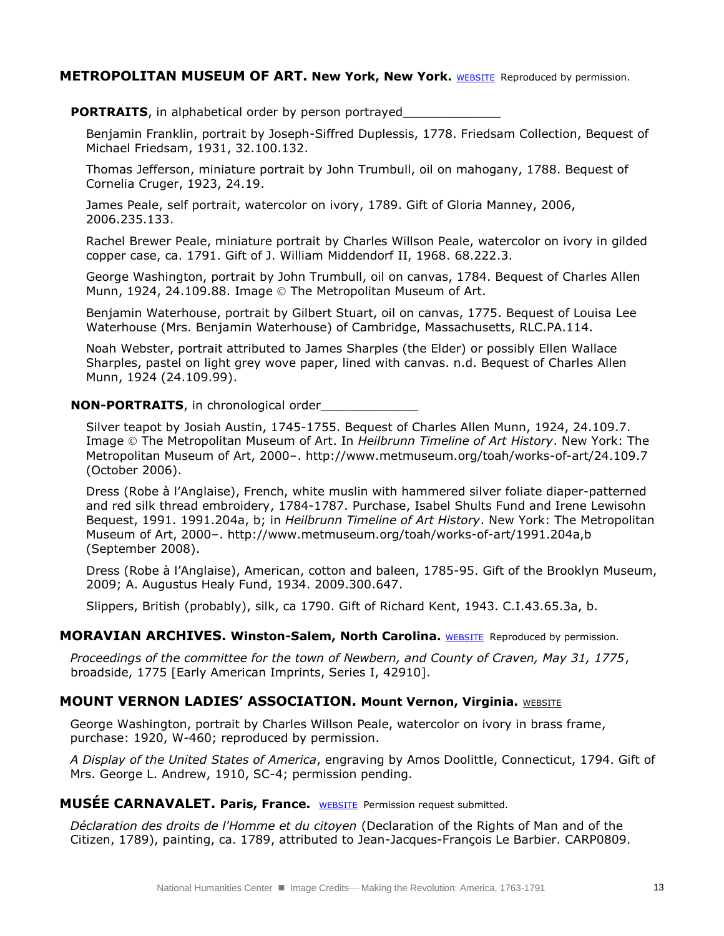#### **METROPOLITAN MUSEUM OF ART. New York, New York.** [WEBSITE](http://www.metmuseum.org/) Reproduced by permission.

#### **PORTRAITS**, in alphabetical order by person portrayed

Benjamin Franklin, portrait by Joseph-Siffred Duplessis, 1778. Friedsam Collection, Bequest of Michael Friedsam, 1931, 32.100.132.

Thomas Jefferson, miniature portrait by John Trumbull, oil on mahogany, 1788. Bequest of Cornelia Cruger, 1923, 24.19.

James Peale, self portrait, watercolor on ivory, 1789. Gift of Gloria Manney, 2006, 2006.235.133.

Rachel Brewer Peale, miniature portrait by Charles Willson Peale, watercolor on ivory in gilded copper case, ca. 1791. Gift of J. William Middendorf II, 1968. 68.222.3.

George Washington, portrait by John Trumbull, oil on canvas, 1784. Bequest of Charles Allen Munn, 1924, 24.109.88. Image © The Metropolitan Museum of Art.

Benjamin Waterhouse, portrait by Gilbert Stuart, oil on canvas, 1775. Bequest of Louisa Lee Waterhouse (Mrs. Benjamin Waterhouse) of Cambridge, Massachusetts, RLC.PA.114.

Noah Webster, portrait attributed to James Sharples (the Elder) or possibly Ellen Wallace Sharples, pastel on light grey wove paper, lined with canvas. n.d. Bequest of Charles Allen Munn, 1924 (24.109.99).

#### **NON-PORTRAITS**, in chronological order

Silver teapot by Josiah Austin, 1745-1755. Bequest of Charles Allen Munn, 1924, 24.109.7. Image The Metropolitan Museum of Art. In *Heilbrunn Timeline of Art History*. New York: The Metropolitan Museum of Art, 2000–. http://www.metmuseum.org/toah/works-of-art/24.109.7 (October 2006).

Dress (Robe à l'Anglaise), French, white muslin with hammered silver foliate diaper-patterned and red silk thread embroidery, 1784-1787. Purchase, Isabel Shults Fund and Irene Lewisohn Bequest, 1991. 1991.204a, b; in *Heilbrunn Timeline of Art History*. New York: The Metropolitan Museum of Art, 2000–. http://www.metmuseum.org/toah/works-of-art/1991.204a,b (September 2008).

Dress (Robe à l'Anglaise), American, cotton and baleen, 1785-95. Gift of the Brooklyn Museum, 2009; A. Augustus Healy Fund, 1934. 2009.300.647.

Slippers, British (probably), silk, ca 1790. Gift of Richard Kent, 1943. C.I.43.65.3a, b.

#### **MORAVIAN ARCHIVES. Winston-Salem, North Carolina.** [WEBSITE](http://www.moravianarchives.org/) Reproduced by permission.

*Proceedings of the committee for the town of Newbern, and County of Craven, May 31, 1775*, broadside, 1775 [Early American Imprints, Series I, 42910].

#### **MOUNT VERNON LADIES' ASSOCIATION. Mount Vernon, Virginia. WEBSITE**

George Washington, portrait by Charles Willson Peale, watercolor on ivory in brass frame, purchase: 1920, W-460; reproduced by permission.

*A Display of the United States of America*, engraving by Amos Doolittle, Connecticut, 1794. Gift of Mrs. George L. Andrew, 1910, SC-4; permission pending.

## **MUSÉE CARNAVALET. Paris, France.** [WEBSITE](http://www.carnavalet.paris.fr/fr/musee-carnavalet) Permission request submitted.

*Déclaration des droits de l'Homme et du citoyen* (Declaration of the Rights of Man and of the Citizen, 1789), painting, ca. 1789, attributed to Jean-Jacques-François Le Barbier. CARP0809.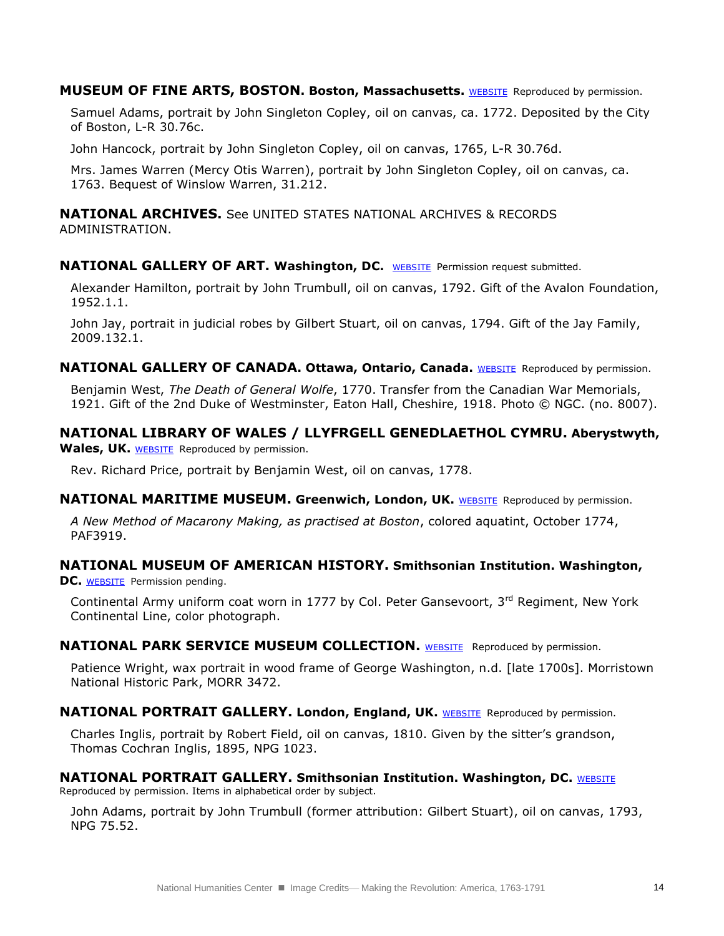**MUSEUM OF FINE ARTS, BOSTON. Boston, Massachusetts. [WEBSITE](http://www.mfa.org/) Reproduced by permission.** 

Samuel Adams, portrait by John Singleton Copley, oil on canvas, ca. 1772. Deposited by the City of Boston, L-R 30.76c.

John Hancock, portrait by John Singleton Copley, oil on canvas, 1765, L-R 30.76d.

Mrs. James Warren (Mercy Otis Warren), portrait by John Singleton Copley, oil on canvas, ca. 1763. Bequest of Winslow Warren, 31.212.

**NATIONAL ARCHIVES.** See UNITED STATES NATIONAL ARCHIVES & RECORDS ADMINISTRATION.

#### **NATIONAL GALLERY OF ART. Washington, DC.** [WEBSITE](http://www.nga.gov/) Permission request submitted.

Alexander Hamilton, portrait by John Trumbull, oil on canvas, 1792. Gift of the Avalon Foundation, 1952.1.1.

John Jay, portrait in judicial robes by Gilbert Stuart, oil on canvas, 1794. Gift of the Jay Family, 2009.132.1.

**NATIONAL GALLERY OF CANADA. Ottawa, Ontario, Canada. [WEBSITE](http://www.gallery.ca/english/index.html) Reproduced by permission.** 

Benjamin West, *The Death of General Wolfe*, 1770. Transfer from the Canadian War Memorials, 1921. Gift of the 2nd Duke of Westminster, Eaton Hall, Cheshire, 1918. Photo © NGC. (no. 8007).

## **NATIONAL LIBRARY OF WALES / LLYFRGELL GENEDLAETHOL CYMRU. Aberystwyth,**

Wales, UK. [WEBSITE](http://www.llgc.org.uk/) Reproduced by permission.

Rev. Richard Price, portrait by Benjamin West, oil on canvas, 1778.

#### **NATIONAL MARITIME MUSEUM. Greenwich, London, UK. [WEBSITE](http://www.nmm.ac.uk/) Reproduced by permission.**

*A New Method of Macarony Making, as practised at Boston*, colored aquatint, October 1774, PAF3919.

## **NATIONAL MUSEUM OF AMERICAN HISTORY. Smithsonian Institution. Washington,**

**DC.** [WEBSITE](http://americanhistory.si.edu/) Permission pending.

Continental Army uniform coat worn in 1777 by Col. Peter Gansevoort,  $3<sup>rd</sup>$  Regiment, New York Continental Line, color photograph.

#### **NATIONAL PARK SERVICE MUSEUM COLLECTION.** [WEBSITE](http://www.nps.gov/museum/) Reproduced by permission.

Patience Wright, wax portrait in wood frame of George Washington, n.d. [late 1700s]. Morristown National Historic Park, MORR 3472.

#### **NATIONAL PORTRAIT GALLERY. London, England, UK. [WEBSITE](http://www.npg.org.uk/) Reproduced by permission.**

Charles Inglis, portrait by Robert Field, oil on canvas, 1810. Given by the sitter's grandson, Thomas Cochran Inglis, 1895, NPG 1023.

## **NATIONAL PORTRAIT GALLERY. Smithsonian Institution. Washington, DC. WEBSITE**

Reproduced by permission. Items in alphabetical order by subject.

John Adams, portrait by John Trumbull (former attribution: Gilbert Stuart), oil on canvas, 1793, NPG 75.52.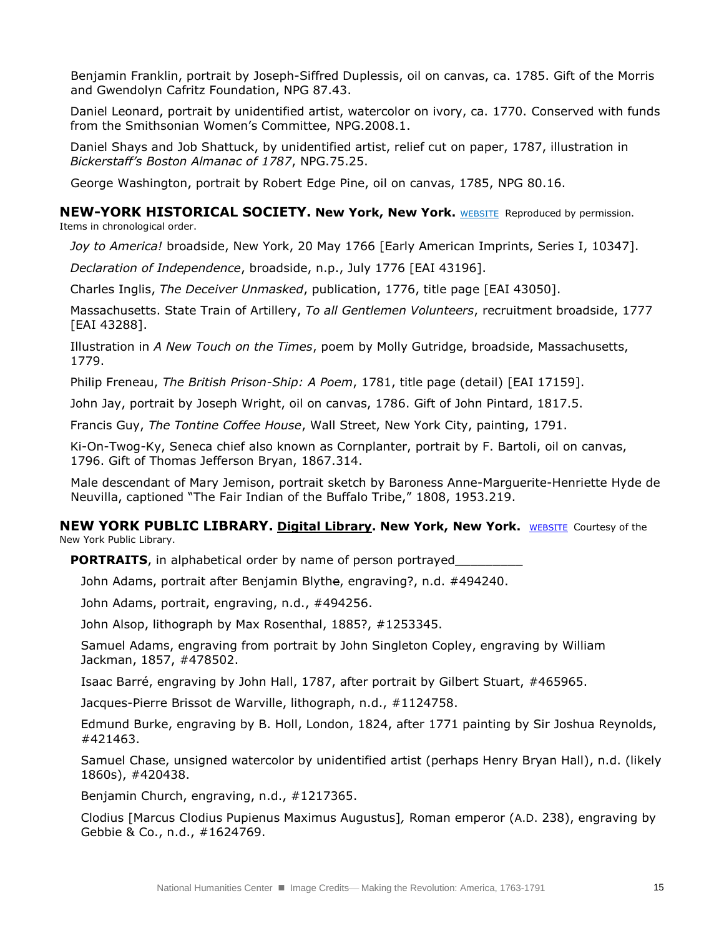Benjamin Franklin, portrait by Joseph-Siffred Duplessis, oil on canvas, ca. 1785. Gift of the Morris and Gwendolyn Cafritz Foundation, NPG 87.43.

Daniel Leonard, portrait by unidentified artist, watercolor on ivory, ca. 1770. Conserved with funds from the Smithsonian Women's Committee, NPG.2008.1.

Daniel Shays and Job Shattuck, by unidentified artist, relief cut on paper, 1787, illustration in *Bickerstaff's Boston Almanac of 1787*, NPG.75.25.

George Washington, portrait by Robert Edge Pine, oil on canvas, 1785, NPG 80.16.

# **NEW-YORK HISTORICAL SOCIETY. New York, New York.** [WEBSITE](https://www.nyhistory.org/web/) Reproduced by permission.

Items in chronological order.

*Joy to America!* broadside, New York, 20 May 1766 [Early American Imprints, Series I, 10347].

*Declaration of Independence*, broadside, n.p., July 1776 [EAI 43196].

Charles Inglis, *The Deceiver Unmasked*, publication, 1776, title page [EAI 43050].

Massachusetts. State Train of Artillery, *To all Gentlemen Volunteers*, recruitment broadside, 1777 [EAI 43288].

Illustration in *A New Touch on the Times*, poem by Molly Gutridge, broadside, Massachusetts, 1779.

Philip Freneau, *The British Prison-Ship: A Poem*, 1781, title page (detail) [EAI 17159].

John Jay, portrait by Joseph Wright, oil on canvas, 1786. Gift of John Pintard, 1817.5.

Francis Guy, *The Tontine Coffee House*, Wall Street, New York City, painting, 1791.

Ki-On-Twog-Ky, Seneca chief also known as Cornplanter, portrait by F. Bartoli, oil on canvas, 1796. Gift of Thomas Jefferson Bryan, 1867.314.

Male descendant of Mary Jemison, portrait sketch by Baroness Anne-Marguerite-Henriette Hyde de Neuvilla, captioned "The Fair Indian of the Buffalo Tribe," 1808, 1953.219.

#### **NEW YORK PUBLIC LIBRARY. Digital Library. New York, New York.** [WEBSITE](http://digitalgallery.nypl.org/nypldigital/index.cfm) Courtesy of the New York Public Library.

**PORTRAITS**, in alphabetical order by name of person portrayed

John Adams, portrait after Benjamin Blythe, engraving?, n.d. #494240.

John Adams, portrait, engraving, n.d., #494256.

John Alsop, lithograph by Max Rosenthal, 1885?, #1253345.

Samuel Adams, engraving from portrait by John Singleton Copley, engraving by William Jackman, 1857, #478502.

Isaac Barré, engraving by John Hall, 1787, after portrait by Gilbert Stuart, #465965.

Jacques-Pierre Brissot de Warville, lithograph, n.d., #1124758.

Edmund Burke, engraving by B. Holl, London, 1824, after 1771 painting by Sir Joshua Reynolds, #421463.

Samuel Chase, unsigned watercolor by unidentified artist (perhaps Henry Bryan Hall), n.d. (likely 1860s), #420438.

Benjamin Church, engraving, n.d., #1217365.

Clodius [Marcus Clodius Pupienus Maximus Augustus]*,* Roman emperor (A.D. 238), engraving by Gebbie & Co., n.d., #1624769.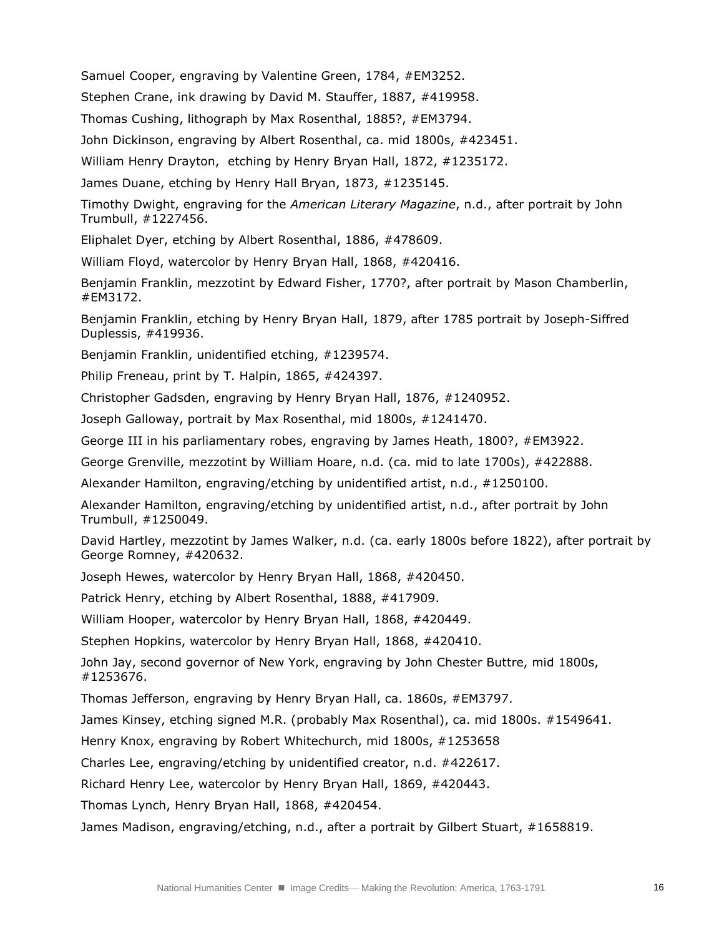Samuel Cooper, engraving by Valentine Green, 1784, #EM3252.

Stephen Crane, ink drawing by David M. Stauffer, 1887, #419958.

Thomas Cushing, lithograph by Max Rosenthal, 1885?, #EM3794.

John Dickinson, engraving by Albert Rosenthal, ca. mid 1800s, #423451.

William Henry Drayton, etching by Henry Bryan Hall, 1872, #1235172.

James Duane, etching by Henry Hall Bryan, 1873, #1235145.

Timothy Dwight, engraving for the *American Literary Magazine*, n.d., after portrait by John Trumbull, #1227456.

Eliphalet Dyer, etching by Albert Rosenthal, 1886, #478609.

William Floyd, watercolor by Henry Bryan Hall, 1868, #420416.

Benjamin Franklin, mezzotint by Edward Fisher, 1770?, after portrait by Mason Chamberlin, #EM3172.

Benjamin Franklin, etching by Henry Bryan Hall, 1879, after 1785 portrait by Joseph-Siffred Duplessis, #419936.

Benjamin Franklin, unidentified etching, #1239574.

Philip Freneau, print by T. Halpin, 1865, #424397.

Christopher Gadsden, engraving by Henry Bryan Hall, 1876, #1240952.

Joseph Galloway, portrait by Max Rosenthal, mid 1800s, #1241470.

George III in his parliamentary robes, engraving by James Heath, 1800?, #EM3922.

George Grenville, mezzotint by William Hoare, n.d. (ca. mid to late 1700s), #422888.

Alexander Hamilton, engraving/etching by unidentified artist, n.d., #1250100.

Alexander Hamilton, engraving/etching by unidentified artist, n.d., after portrait by John Trumbull, #1250049.

David Hartley, mezzotint by James Walker, n.d. (ca. early 1800s before 1822), after portrait by George Romney, #420632.

Joseph Hewes, watercolor by Henry Bryan Hall, 1868, #420450.

Patrick Henry, etching by Albert Rosenthal, 1888, #417909.

William Hooper, watercolor by Henry Bryan Hall, 1868, #420449.

Stephen Hopkins, watercolor by Henry Bryan Hall, 1868, #420410.

John Jay, second governor of New York, engraving by John Chester Buttre, mid 1800s, #1253676.

Thomas Jefferson, engraving by Henry Bryan Hall, ca. 1860s, #EM3797.

James Kinsey, etching signed M.R. (probably Max Rosenthal), ca. mid 1800s. #1549641.

Henry Knox, engraving by Robert Whitechurch, mid 1800s, #1253658

Charles Lee, engraving/etching by unidentified creator, n.d. #422617.

Richard Henry Lee, watercolor by Henry Bryan Hall, 1869, #420443.

Thomas Lynch, Henry Bryan Hall, 1868, #420454.

James Madison, engraving/etching, n.d., after a portrait by Gilbert Stuart, #1658819.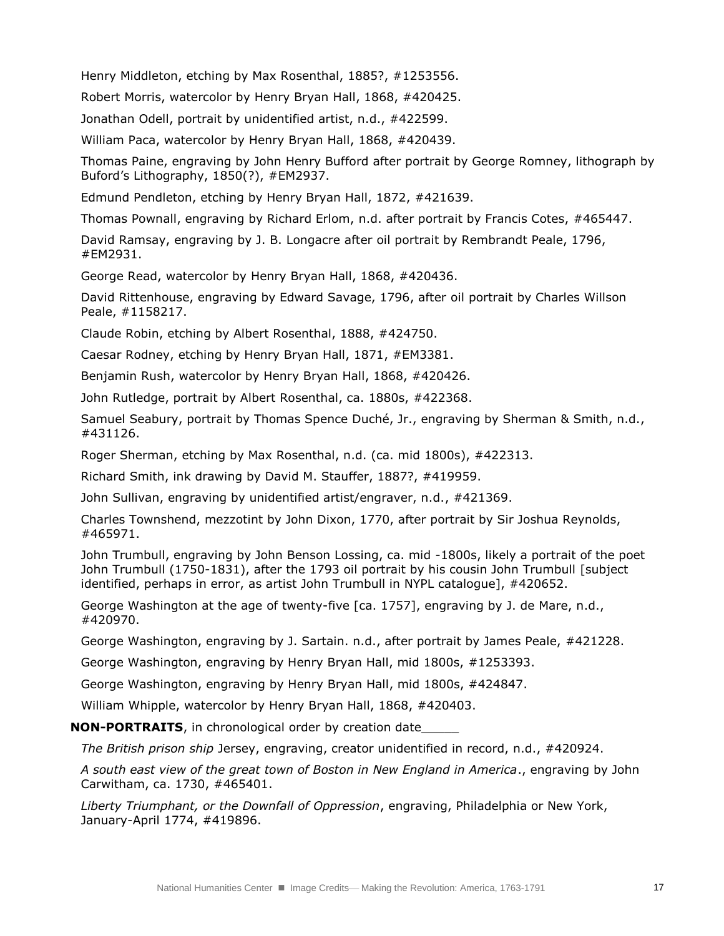Henry Middleton, etching by Max Rosenthal, 1885?, #1253556.

Robert Morris, watercolor by Henry Bryan Hall, 1868, #420425.

Jonathan Odell, portrait by unidentified artist, n.d., #422599.

William Paca, watercolor by Henry Bryan Hall, 1868, #420439.

Thomas Paine, engraving by John Henry Bufford after portrait by George Romney, lithograph by Buford's Lithography, 1850(?), #EM2937.

Edmund Pendleton, etching by Henry Bryan Hall, 1872, #421639.

Thomas Pownall, engraving by Richard Erlom, n.d. after portrait by Francis Cotes, #465447.

David Ramsay, engraving by J. B. Longacre after oil portrait by Rembrandt Peale, 1796, #EM2931.

George Read, watercolor by Henry Bryan Hall, 1868, #420436.

David Rittenhouse, engraving by Edward Savage, 1796, after oil portrait by Charles Willson Peale, #1158217.

Claude Robin, etching by Albert Rosenthal, 1888, #424750.

Caesar Rodney, etching by Henry Bryan Hall, 1871, #EM3381.

Benjamin Rush, watercolor by Henry Bryan Hall, 1868, #420426.

John Rutledge, portrait by Albert Rosenthal, ca. 1880s, #422368.

Samuel Seabury, portrait by Thomas Spence Duché, Jr., engraving by Sherman & Smith, n.d., #431126.

Roger Sherman, etching by Max Rosenthal, n.d. (ca. mid 1800s), #422313.

Richard Smith, ink drawing by David M. Stauffer, 1887?, #419959.

John Sullivan, engraving by unidentified artist/engraver, n.d., #421369.

Charles Townshend, mezzotint by John Dixon, 1770, after portrait by Sir Joshua Reynolds, #465971.

John Trumbull, engraving by John Benson Lossing, ca. mid -1800s, likely a portrait of the poet John Trumbull (1750-1831), after the 1793 oil portrait by his cousin John Trumbull [subject identified, perhaps in error, as artist John Trumbull in NYPL catalogue], #420652.

George Washington at the age of twenty-five [ca. 1757], engraving by J. de Mare, n.d., #420970.

George Washington, engraving by J. Sartain. n.d., after portrait by James Peale, #421228.

George Washington, engraving by Henry Bryan Hall, mid 1800s, #1253393.

George Washington, engraving by Henry Bryan Hall, mid 1800s, #424847.

William Whipple, watercolor by Henry Bryan Hall, 1868, #420403.

**NON-PORTRAITS**, in chronological order by creation date\_\_\_\_\_

*The British prison ship* Jersey, engraving, creator unidentified in record, n.d., #420924.

*A south east view of the great town of Boston in New England in America*., engraving by John Carwitham, ca. 1730, #465401.

*Liberty Triumphant, or the Downfall of Oppression*, engraving, Philadelphia or New York, January-April 1774, #419896.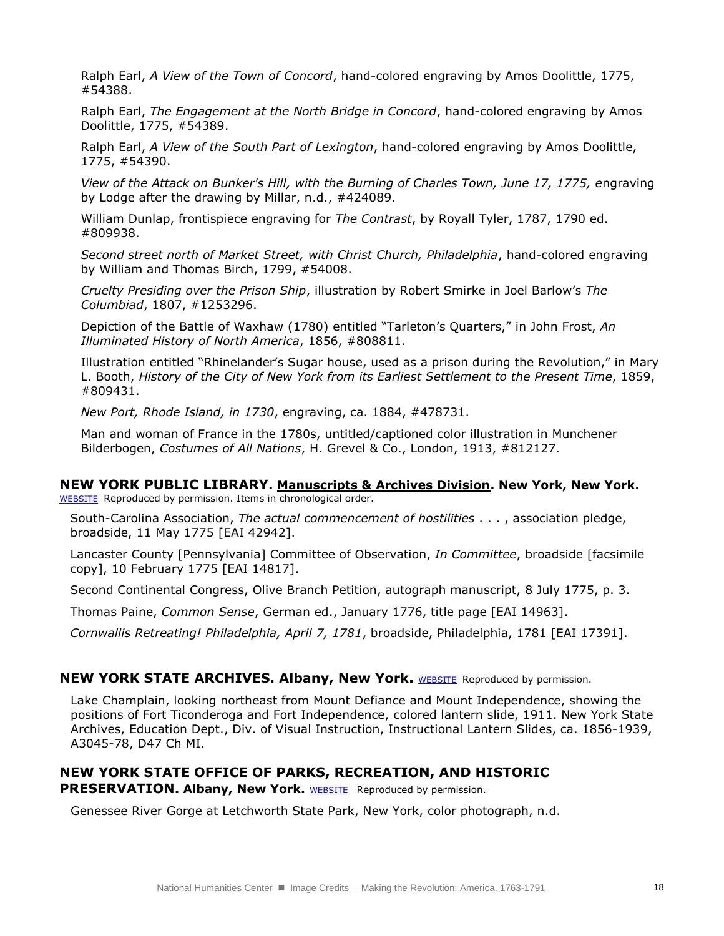Ralph Earl, *A View of the Town of Concord*, hand-colored engraving by Amos Doolittle, 1775, #54388.

Ralph Earl, *The Engagement at the North Bridge in Concord*, hand-colored engraving by Amos Doolittle, 1775, #54389.

Ralph Earl, *A View of the South Part of Lexington*, hand-colored engraving by Amos Doolittle, 1775, #54390.

*View of the Attack on Bunker's Hill, with the Burning of Charles Town, June 17, 1775, e*ngraving by Lodge after the drawing by Millar, n.d., #424089.

William Dunlap, frontispiece engraving for *The Contrast*, by Royall Tyler, 1787, 1790 ed. #809938.

*Second street north of Market Street, with Christ Church, Philadelphia*, hand-colored engraving by William and Thomas Birch, 1799, #54008.

*Cruelty Presiding over the Prison Ship*, illustration by Robert Smirke in Joel Barlow's *The Columbiad*, 1807, #1253296.

Depiction of the Battle of Waxhaw (1780) entitled "Tarleton's Quarters," in John Frost, *An Illuminated History of North America*, 1856, #808811.

Illustration entitled "Rhinelander's Sugar house, used as a prison during the Revolution," in Mary L. Booth, *History of the City of New York from its Earliest Settlement to the Present Time*, 1859, #809431.

*New Port, Rhode Island, in 1730*, engraving, ca. 1884, #478731.

Man and woman of France in the 1780s, untitled/captioned color illustration in Munchener Bilderbogen, *Costumes of All Nations*, H. Grevel & Co., London, 1913, #812127.

## **NEW YORK PUBLIC LIBRARY. Manuscripts & Archives Division. New York, New York.**

[WEBSITE](http://www.nypl.org/locations/schwarzman/manuscripts-division) Reproduced by permission. Items in chronological order.

South-Carolina Association, *The actual commencement of hostilities* . . . , association pledge, broadside, 11 May 1775 [EAI 42942].

Lancaster County [Pennsylvania] Committee of Observation, *In Committee*, broadside [facsimile copy], 10 February 1775 [EAI 14817].

Second Continental Congress, Olive Branch Petition, autograph manuscript, 8 July 1775, p. 3.

Thomas Paine, *Common Sense*, German ed., January 1776, title page [EAI 14963].

*Cornwallis Retreating! Philadelphia, April 7, 1781*, broadside, Philadelphia, 1781 [EAI 17391].

#### **NEW YORK STATE ARCHIVES. Albany, New York.** [WEBSITE](http://www.archives.nysed.gov/aindex.shtml) Reproduced by permission.

Lake Champlain, looking northeast from Mount Defiance and Mount Independence, showing the positions of Fort Ticonderoga and Fort Independence, colored lantern slide, 1911. New York State Archives, Education Dept., Div. of Visual Instruction, Instructional Lantern Slides, ca. 1856-1939, A3045-78, D47 Ch MI.

## **NEW YORK STATE OFFICE OF PARKS, RECREATION, AND HISTORIC**

**PRESERVATION. Albany, New York. WEBSITE** Reproduced by permission.

Genessee River Gorge at Letchworth State Park, New York, color photograph, n.d.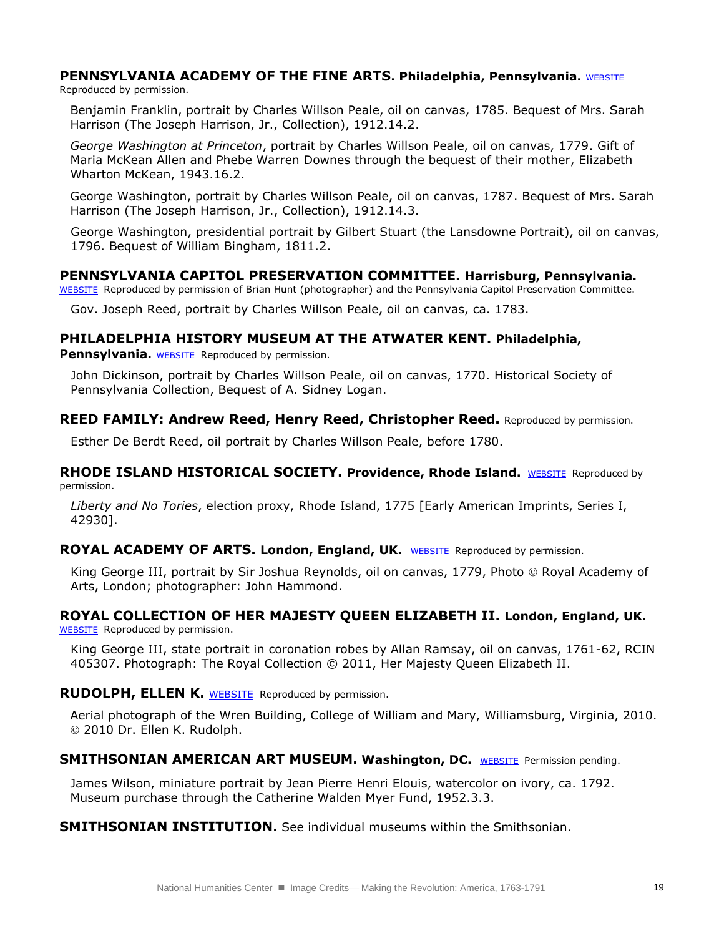## **PENNSYLVANIA ACADEMY OF THE FINE ARTS. Philadelphia, Pennsylvania. WEBSITE**

Reproduced by permission.

Benjamin Franklin, portrait by Charles Willson Peale, oil on canvas, 1785. Bequest of Mrs. Sarah Harrison (The Joseph Harrison, Jr., Collection), 1912.14.2.

*George Washington at Princeton*, portrait by Charles Willson Peale, oil on canvas, 1779. Gift of Maria McKean Allen and Phebe Warren Downes through the bequest of their mother, Elizabeth Wharton McKean, 1943.16.2.

George Washington, portrait by Charles Willson Peale, oil on canvas, 1787. Bequest of Mrs. Sarah Harrison (The Joseph Harrison, Jr., Collection), 1912.14.3.

George Washington, presidential portrait by Gilbert Stuart (the Lansdowne Portrait), oil on canvas, 1796. Bequest of William Bingham, 1811.2.

#### **PENNSYLVANIA CAPITOL PRESERVATION COMMITTEE. Harrisburg, Pennsylvania.**

[WEBSITE](http://cpc.state.pa.us/cpcweb/) Reproduced by permission of Brian Hunt (photographer) and the Pennsylvania Capitol Preservation Committee.

Gov. Joseph Reed, portrait by Charles Willson Peale, oil on canvas, ca. 1783.

## **PHILADELPHIA HISTORY MUSEUM AT THE ATWATER KENT. Philadelphia,**

**Pennsylvania.** [WEBSITE](http://www.philadelphiahistory.org/index.php) Reproduced by permission.

John Dickinson, portrait by Charles Willson Peale, oil on canvas, 1770. Historical Society of Pennsylvania Collection, Bequest of A. Sidney Logan.

#### **REED FAMILY: Andrew Reed, Henry Reed, Christopher Reed.** Reproduced by permission.

Esther De Berdt Reed, oil portrait by Charles Willson Peale, before 1780.

**RHODE ISLAND HISTORICAL SOCIETY. Providence, Rhode Island.** [WEBSITE](http://www.rihs.org/) Reproduced by permission.

*Liberty and No Tories*, election proxy, Rhode Island, 1775 [Early American Imprints, Series I, 42930].

#### **ROYAL ACADEMY OF ARTS. London, England, UK.** [WEBSITE](http://www.royalacademy.org.uk/) Reproduced by permission.

King George III, portrait by Sir Joshua Reynolds, oil on canvas, 1779, Photo © Royal Academy of Arts, London; photographer: John Hammond.

# **ROYAL COLLECTION OF HER MAJESTY QUEEN ELIZABETH II. London, England, UK.**

[WEBSITE](http://www.royalcollection.org.uk/) Reproduced by permission.

King George III, state portrait in coronation robes by Allan Ramsay, oil on canvas, 1761-62, RCIN 405307. Photograph: The Royal Collection © 2011, Her Majesty Queen Elizabeth II.

#### **RUDOLPH, ELLEN K.** [WEBSITE](http://www.drellenrudolph.com/) Reproduced by permission.

Aerial photograph of the Wren Building, College of William and Mary, Williamsburg, Virginia, 2010. 2010 Dr. Ellen K. Rudolph.

## **SMITHSONIAN AMERICAN ART MUSEUM. Washington, DC. [WEBSITE](http://americanart.si.edu/) Permission pending.**

James Wilson, miniature portrait by Jean Pierre Henri Elouis, watercolor on ivory, ca. 1792. Museum purchase through the Catherine Walden Myer Fund, 1952.3.3.

**SMITHSONIAN INSTITUTION.** See individual museums within the Smithsonian.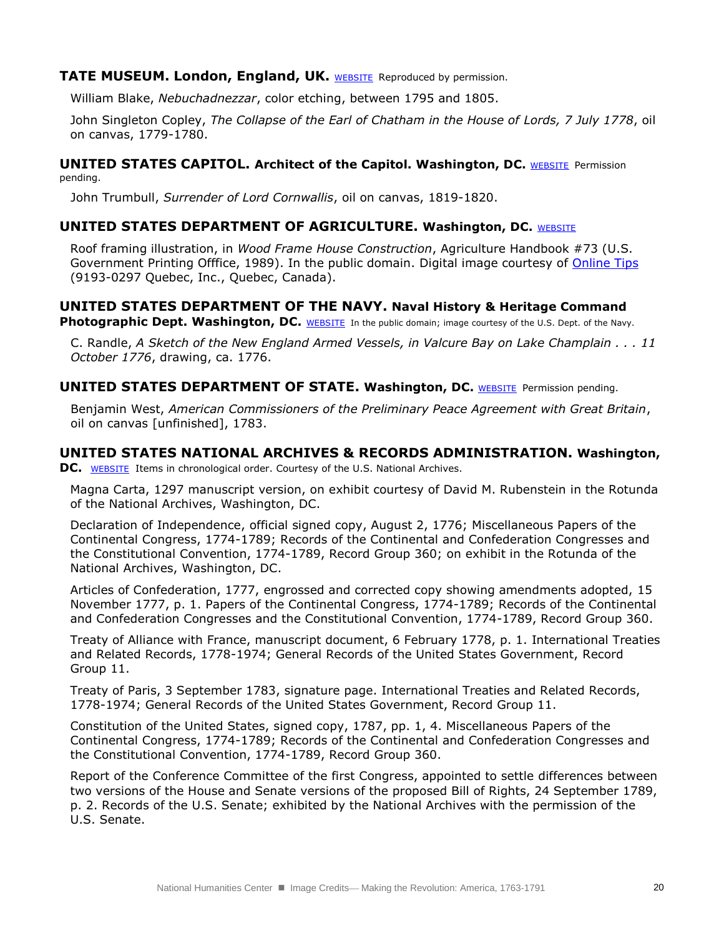## **TATE MUSEUM. London, England, UK. [WEBSITE](http://www.tate.org.uk/) Reproduced by permission.**

William Blake, *Nebuchadnezzar*, color etching, between 1795 and 1805.

John Singleton Copley, *The Collapse of the Earl of Chatham in the House of Lords, 7 July 1778*, oil on canvas, 1779-1780.

#### **UNITED STATES CAPITOL. Architect of the Capitol. Washington, DC. [WEBSITE](http://www.aoc.gov/) Permission** pending.

John Trumbull, *Surrender of Lord Cornwallis*, oil on canvas, 1819-1820.

## **UNITED STATES DEPARTMENT OF AGRICULTURE. Washington, DC. [WEBSITE](http://www.usda.gov/wps/portal/usda/usdahome)**

Roof framing illustration, in *Wood Frame House Construction*, Agriculture Handbook #73 (U.S. Government Printing Offfice, 1989). In the public domain. Digital image courtesy of [Online Tips](http://www.onlinetips.org/installing-roof-sheathing) (9193-0297 Quebec, Inc., Quebec, Canada).

## **UNITED STATES DEPARTMENT OF THE NAVY. Naval History & Heritage Command**

**Photographic Dept. Washington, DC.** [WEBSITE](http://www.history.navy.mil/index.html) In the public domain; image courtesy of the U.S. Dept. of the Navy.

C. Randle, *A Sketch of the New England Armed Vessels, in Valcure Bay on Lake Champlain . . . 11 October 1776*, drawing, ca. 1776.

#### **UNITED STATES DEPARTMENT OF STATE. Washington, DC.** [WEBSITE](http://www.state.gov/) Permission pending.

Benjamin West, *American Commissioners of the Preliminary Peace Agreement with Great Britain*, oil on canvas [unfinished], 1783.

## **UNITED STATES NATIONAL ARCHIVES & RECORDS ADMINISTRATION. Washington,**

**DC.** [WEBSITE](http://www.archives.gov/) Items in chronological order. Courtesy of the U.S. National Archives.

Magna Carta, 1297 manuscript version, on exhibit courtesy of David M. Rubenstein in the Rotunda of the National Archives, Washington, DC.

Declaration of Independence, official signed copy, August 2, 1776; Miscellaneous Papers of the Continental Congress, 1774-1789; Records of the Continental and Confederation Congresses and the Constitutional Convention, 1774-1789, Record Group 360; on exhibit in the Rotunda of the National Archives, Washington, DC.

Articles of Confederation, 1777, engrossed and corrected copy showing amendments adopted, 15 November 1777, p. 1. Papers of the Continental Congress, 1774-1789; Records of the Continental and Confederation Congresses and the Constitutional Convention, 1774-1789, Record Group 360.

Treaty of Alliance with France, manuscript document, 6 February 1778, p. 1. International Treaties and Related Records, 1778-1974; General Records of the United States Government, Record Group 11.

Treaty of Paris, 3 September 1783, signature page. International Treaties and Related Records, 1778-1974; General Records of the United States Government, Record Group 11.

Constitution of the United States, signed copy, 1787, pp. 1, 4. Miscellaneous Papers of the Continental Congress, 1774-1789; Records of the Continental and Confederation Congresses and the Constitutional Convention, 1774-1789, Record Group 360.

Report of the Conference Committee of the first Congress, appointed to settle differences between two versions of the House and Senate versions of the proposed Bill of Rights, 24 September 1789, p. 2. Records of the U.S. Senate; exhibited by the National Archives with the permission of the U.S. Senate.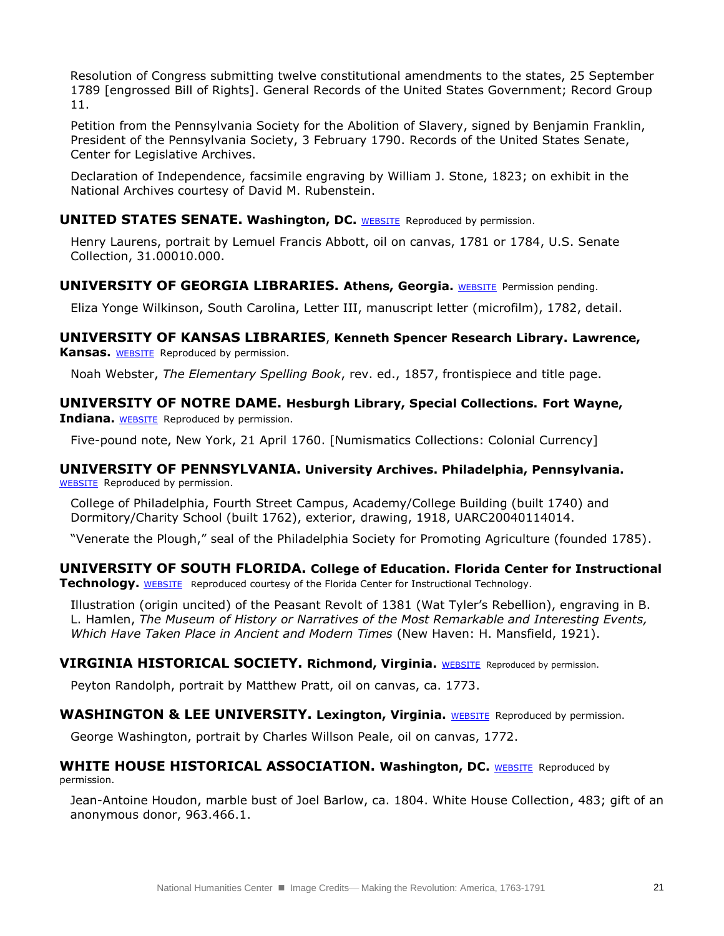Resolution of Congress submitting twelve constitutional amendments to the states, 25 September 1789 [engrossed Bill of Rights]. General Records of the United States Government; Record Group 11.

Petition from the Pennsylvania Society for the Abolition of Slavery, signed by Benjamin Franklin, President of the Pennsylvania Society, 3 February 1790. Records of the United States Senate, Center for Legislative Archives.

Declaration of Independence, facsimile engraving by William J. Stone, 1823; on exhibit in the National Archives courtesy of David M. Rubenstein.

#### **UNITED STATES SENATE. Washington, DC.** [WEBSITE](http://www.senate.gov/artandhistory/art/artifact/Painting_31_00010.htm) Reproduced by permission.

Henry Laurens, portrait by Lemuel Francis Abbott, oil on canvas, 1781 or 1784, U.S. Senate Collection, 31.00010.000.

## **UNIVERSITY OF GEORGIA LIBRARIES. Athens, Georgia.** [WEBSITE](http://www.libs.uga.edu/) Permission pending.

Eliza Yonge Wilkinson, South Carolina, Letter III, manuscript letter (microfilm), 1782, detail.

## **UNIVERSITY OF KANSAS LIBRARIES**, **Kenneth Spencer Research Library. Lawrence,**

**Kansas.** [WEBSITE](http://spencer.lib.ku.edu/exhibits/monaghan/) Reproduced by permission.

Noah Webster, *The Elementary Spelling Book*, rev. ed., 1857, frontispiece and title page.

## **UNIVERSITY OF NOTRE DAME. Hesburgh Library, Special Collections. Fort Wayne,**

**Indiana.** [WEBSITE](http://nd.edu/) Reproduced by permission.

Five-pound note, New York, 21 April 1760. [Numismatics Collections: Colonial Currency]

#### **UNIVERSITY OF PENNSYLVANIA. University Archives. Philadelphia, Pennsylvania.** [WEBSITE](http://www.archives.upenn.edu/home/archives.html) Reproduced by permission.

College of Philadelphia, Fourth Street Campus, Academy/College Building (built 1740) and Dormitory/Charity School (built 1762), exterior, drawing, 1918, UARC20040114014.

"Venerate the Plough," seal of the Philadelphia Society for Promoting Agriculture (founded 1785).

## **UNIVERSITY OF SOUTH FLORIDA. College of Education. Florida Center for Instructional**

**Technology.** [WEBSITE](http://etc.usf.edu/clipart/index.htm) Reproduced courtesy of the Florida Center for Instructional Technology.

Illustration (origin uncited) of the Peasant Revolt of 1381 (Wat Tyler's Rebellion), engraving in B. L. Hamlen, *The Museum of History or Narratives of the Most Remarkable and Interesting Events, Which Have Taken Place in Ancient and Modern Times* (New Haven: H. Mansfield, 1921).

#### **VIRGINIA HISTORICAL SOCIETY. Richmond, Virginia.** [WEBSITE](http://www.vahistorical.org/) Reproduced by permission.

Peyton Randolph, portrait by Matthew Pratt, oil on canvas, ca. 1773.

#### WASHINGTON & LEE UNIVERSITY. Lexington, Virginia. [WEBSITE](http://www.wlu.edu/x6.xml) Reproduced by permission.

George Washington, portrait by Charles Willson Peale, oil on canvas, 1772.

#### **WHITE HOUSE HISTORICAL ASSOCIATION. Washington, DC. [WEBSITE](http://www.whitehousehistory.org/) Reproduced by** permission.

Jean-Antoine Houdon, marble bust of Joel Barlow, ca. 1804. White House Collection, 483; gift of an anonymous donor, 963.466.1.